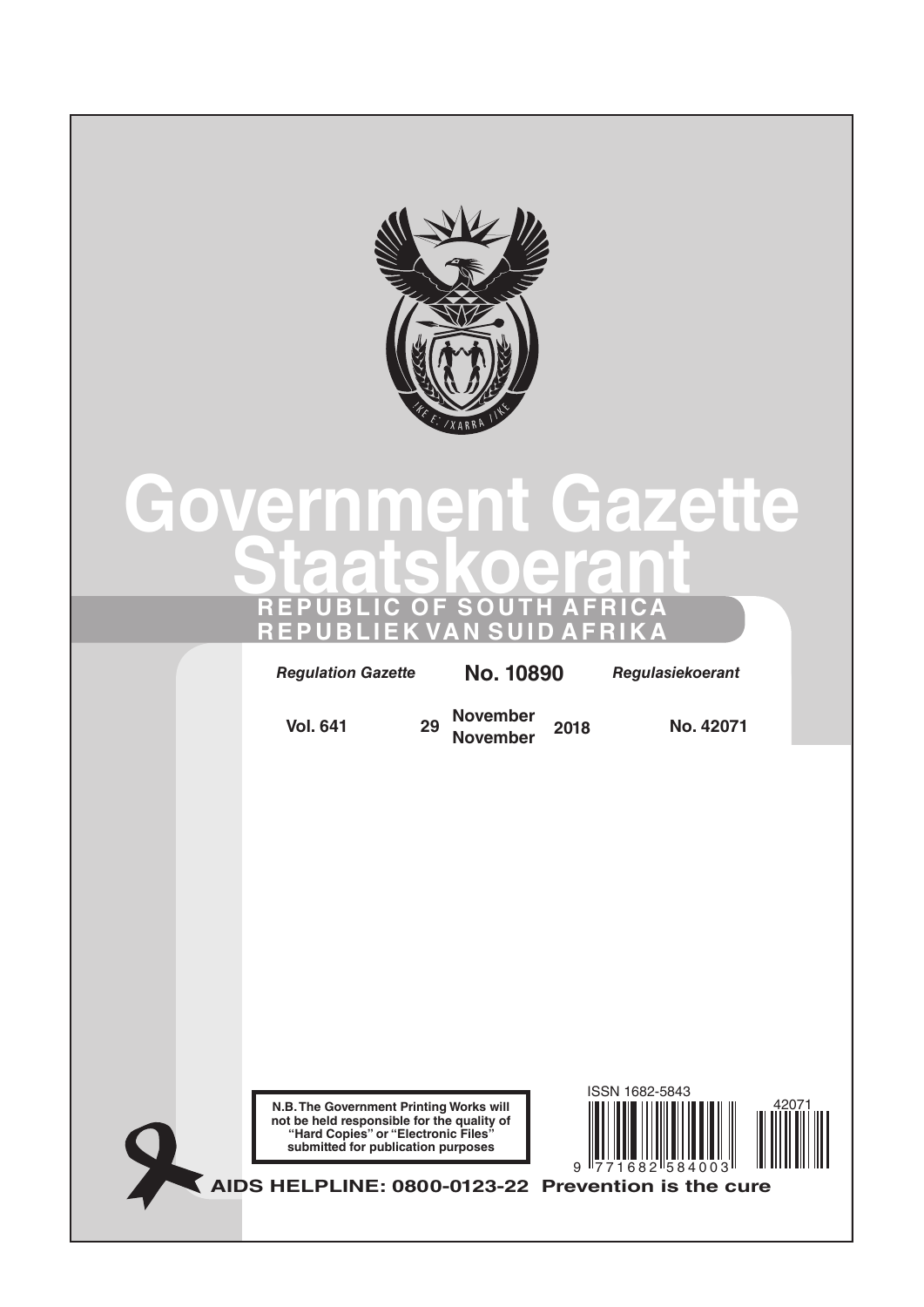

# **Government Gazette Staatskoerant REPUBLIC OF SOUTH AFRICA REPUBLIEK VAN SUID AFRIKA**

*Regulation Gazette* **No. 10177** *Regulasiekoerant Regulation Gazette* **No. 10890** *Regulasiekoerant*

**Vol. 641 <sup>29</sup> November November <sup>2018</sup> No. 42071**





**AIDS HELPLINE: 0800-0123-22 Prevention is the cure**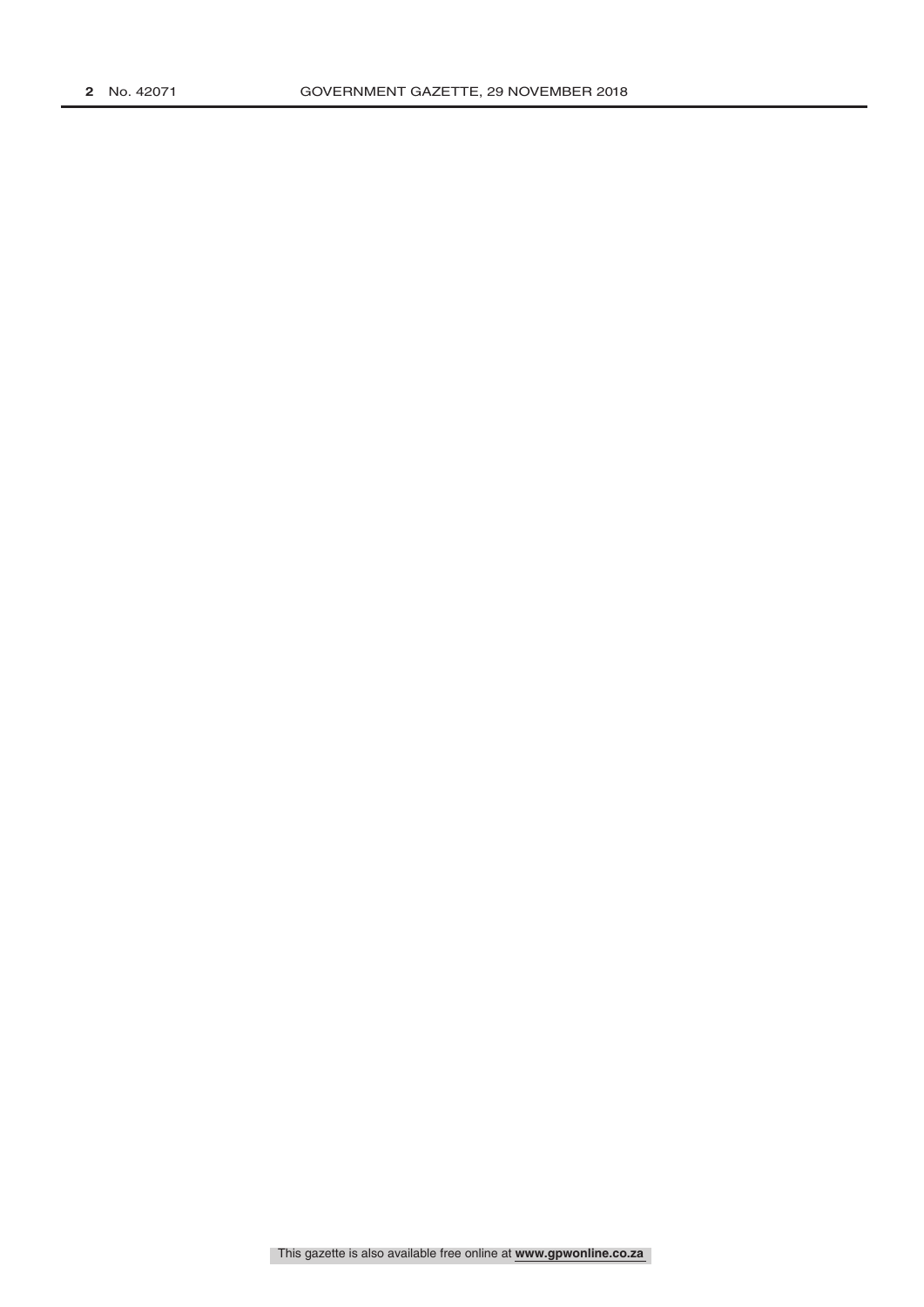This gazette is also available free online at **www.gpwonline.co.za**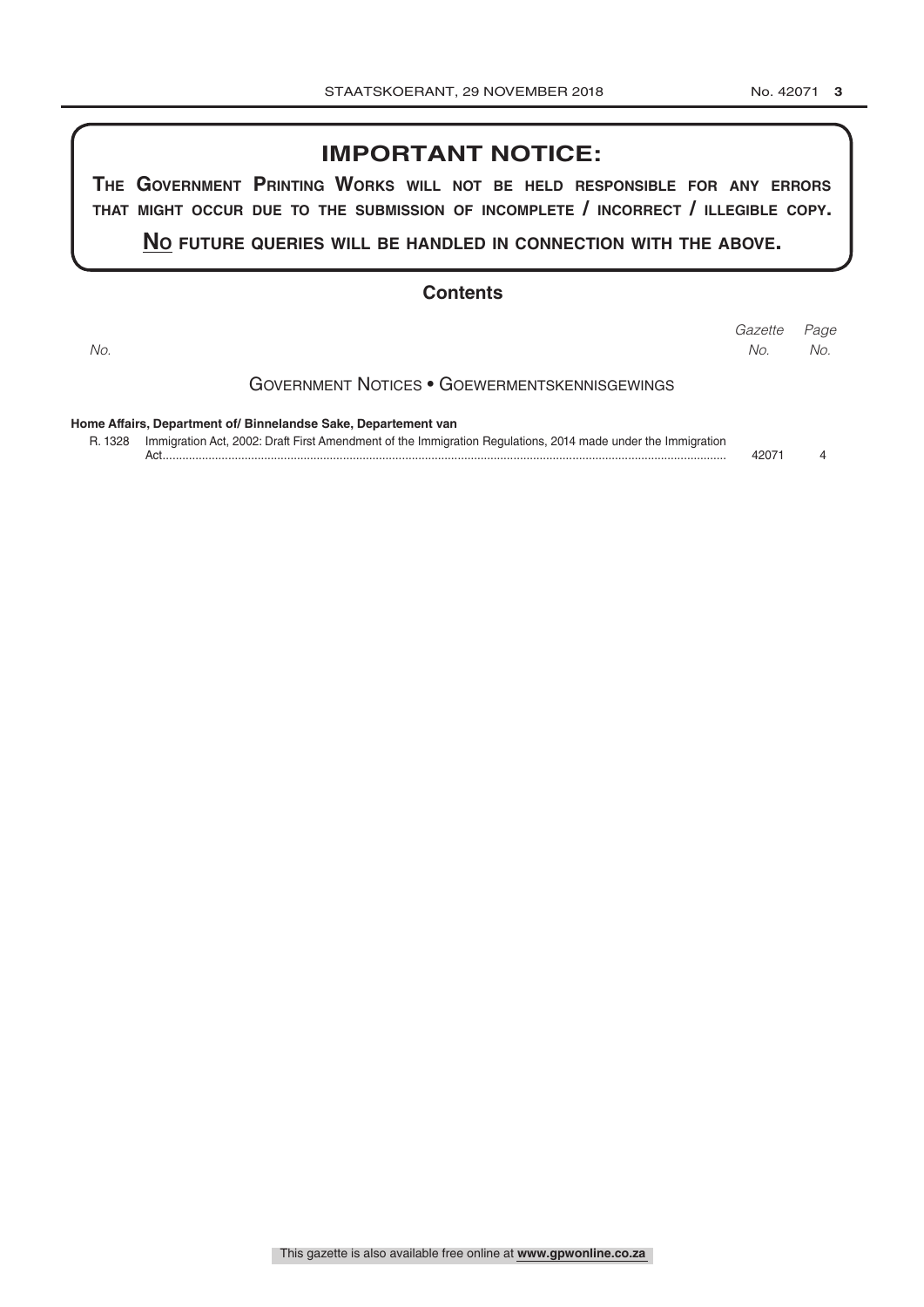#### **IMPORTANT NOTICE:**

**The GovernmenT PrinTinG Works Will noT be held resPonsible for any errors ThaT miGhT occur due To The submission of incomPleTe / incorrecT / illeGible coPy.**

**no fuTure queries Will be handled in connecTion WiTh The above.**

#### **Contents**

| No.     |                                                                                                              | Gazette<br>No. | Page<br>No. |
|---------|--------------------------------------------------------------------------------------------------------------|----------------|-------------|
|         | <b>GOVERNMENT NOTICES • GOEWERMENTSKENNISGEWINGS</b>                                                         |                |             |
|         | Home Affairs, Department of/ Binnelandse Sake, Departement van                                               |                |             |
| R. 1328 | Immigration Act, 2002: Draft First Amendment of the Immigration Regulations, 2014 made under the Immigration |                |             |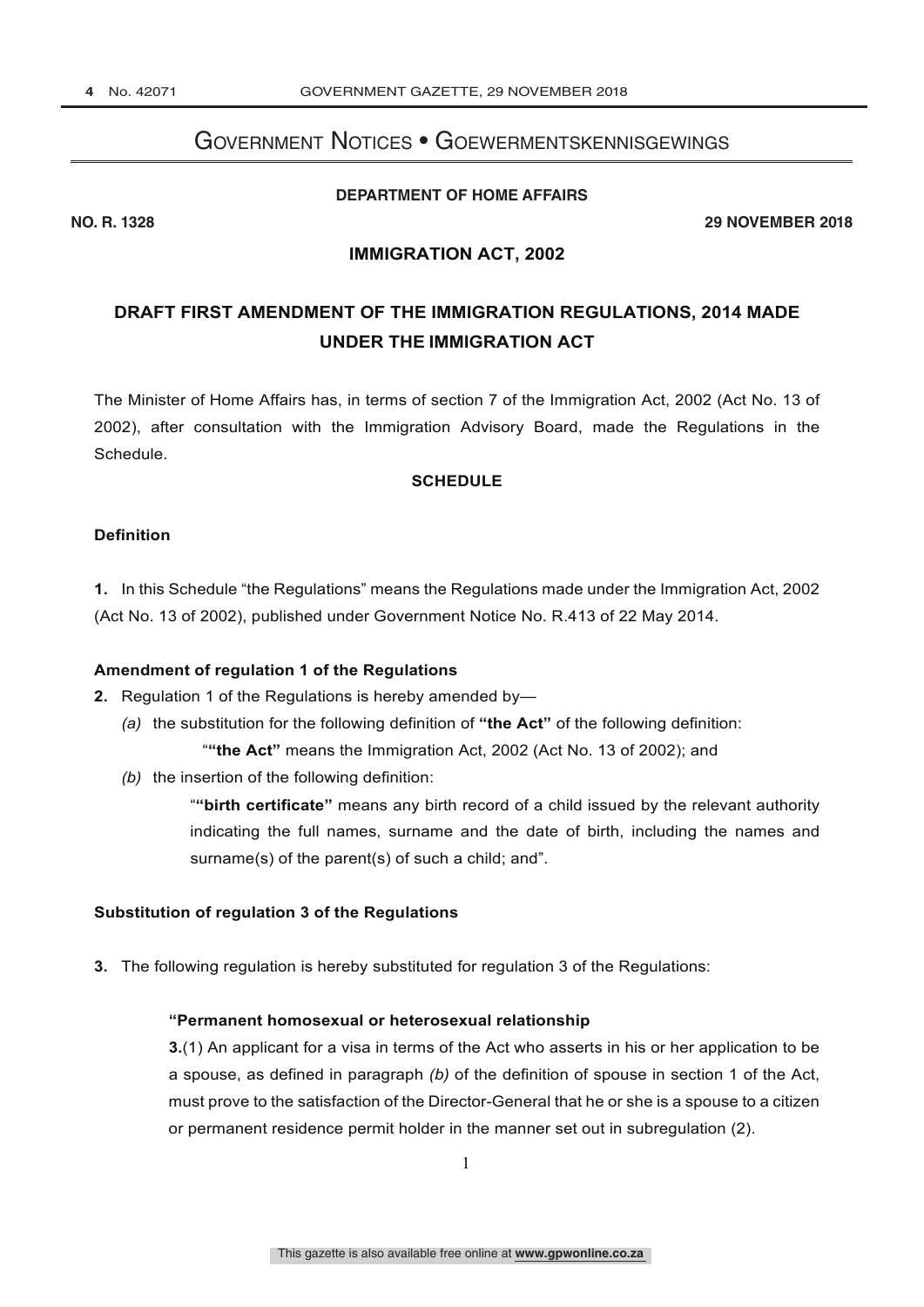#### Government Notices • Goewermentskennisgewings

#### **DEPARTMENT OF HOME AFFAIRS**

**NO. R. 1328 29 NOVEMBER 2018**

#### **IMMIGRATION ACT, 2002**

### **DRAFT FIRST AMENDMENT OF THE IMMIGRATION REGULATIONS, 2014 MADE UNDER THE IMMIGRATION ACT**

The Minister of Home Affairs has, in terms of section 7 of the Immigration Act, 2002 (Act No. 13 of 2002), after consultation with the Immigration Advisory Board, made the Regulations in the Schedule.

#### **SCHEDULE**

#### **Definition**

**1.** In this Schedule "the Regulations" means the Regulations made under the Immigration Act, 2002 (Act No. 13 of 2002), published under Government Notice No. R.413 of 22 May 2014.

#### **Amendment of regulation 1 of the Regulations**

- **2.** Regulation 1 of the Regulations is hereby amended by—
	- *(a)* the substitution for the following definition of **"the Act"** of the following definition:
		- "**"the Act"** means the Immigration Act, 2002 (Act No. 13 of 2002); and
	- *(b)* the insertion of the following definition:

"**"birth certificate"** means any birth record of a child issued by the relevant authority indicating the full names, surname and the date of birth, including the names and surname(s) of the parent(s) of such a child; and".

#### **Substitution of regulation 3 of the Regulations**

**3.** The following regulation is hereby substituted for regulation 3 of the Regulations:

#### **"Permanent homosexual or heterosexual relationship**

**3.**(1) An applicant for a visa in terms of the Act who asserts in his or her application to be a spouse, as defined in paragraph *(b)* of the definition of spouse in section 1 of the Act, must prove to the satisfaction of the Director-General that he or she is a spouse to a citizen or permanent residence permit holder in the manner set out in subregulation (2).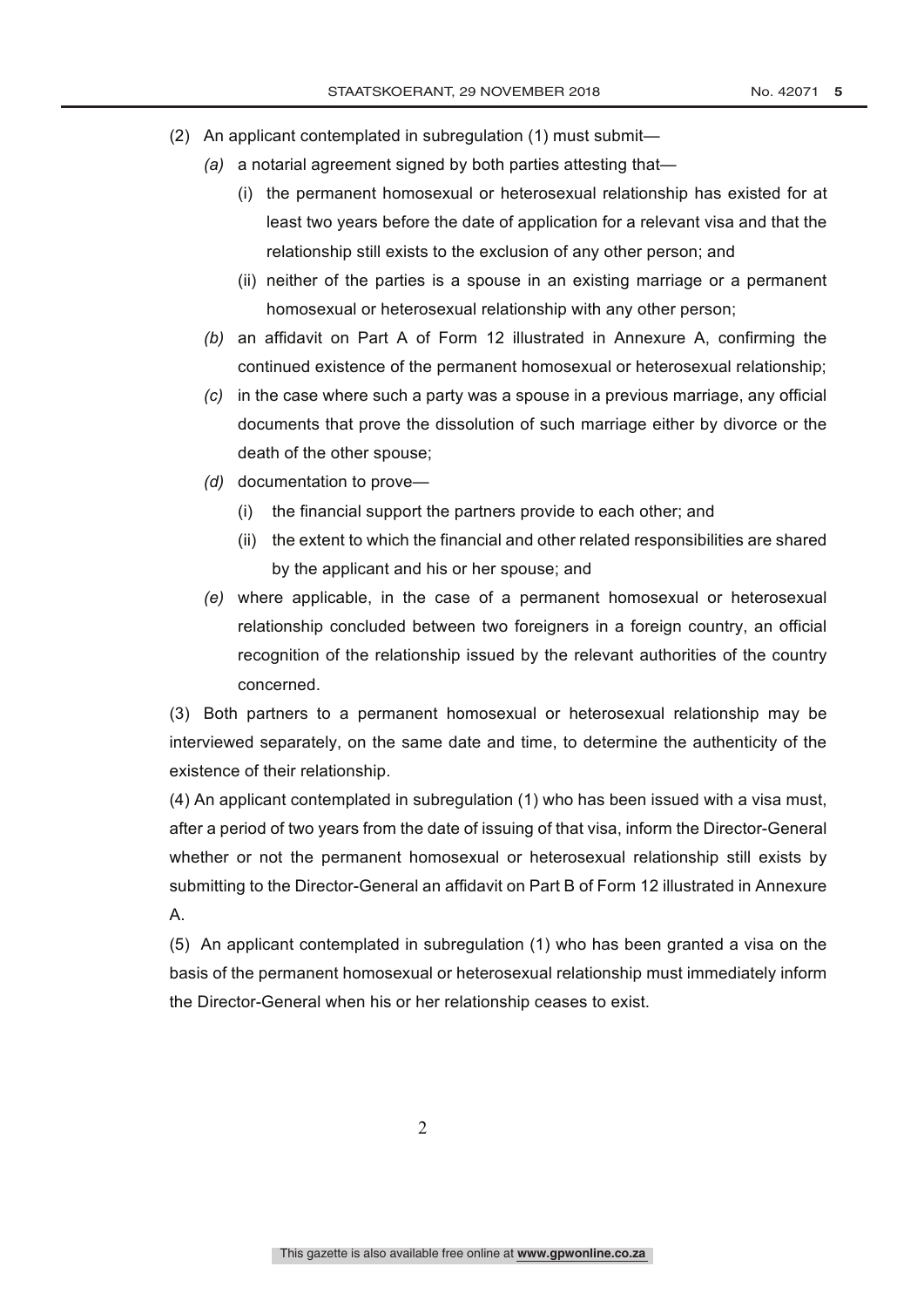- (2) An applicant contemplated in subregulation (1) must submit—
	- *(a)* a notarial agreement signed by both parties attesting that—
		- (i) the permanent homosexual or heterosexual relationship has existed for at least two years before the date of application for a relevant visa and that the relationship still exists to the exclusion of any other person; and
		- (ii) neither of the parties is a spouse in an existing marriage or a permanent homosexual or heterosexual relationship with any other person;
	- *(b)* an affidavit on Part A of Form 12 illustrated in Annexure A, confirming the continued existence of the permanent homosexual or heterosexual relationship;
	- *(c)* in the case where such a party was a spouse in a previous marriage, any official documents that prove the dissolution of such marriage either by divorce or the death of the other spouse;
	- *(d)* documentation to prove—
		- (i) the financial support the partners provide to each other; and
		- (ii) the extent to which the financial and other related responsibilities are shared by the applicant and his or her spouse; and
	- *(e)* where applicable, in the case of a permanent homosexual or heterosexual relationship concluded between two foreigners in a foreign country, an official recognition of the relationship issued by the relevant authorities of the country concerned.

(3) Both partners to a permanent homosexual or heterosexual relationship may be interviewed separately, on the same date and time, to determine the authenticity of the existence of their relationship.

(4) An applicant contemplated in subregulation (1) who has been issued with a visa must, after a period of two years from the date of issuing of that visa, inform the Director-General whether or not the permanent homosexual or heterosexual relationship still exists by submitting to the Director-General an affidavit on Part B of Form 12 illustrated in Annexure A.

(5) An applicant contemplated in subregulation (1) who has been granted a visa on the basis of the permanent homosexual or heterosexual relationship must immediately inform the Director-General when his or her relationship ceases to exist.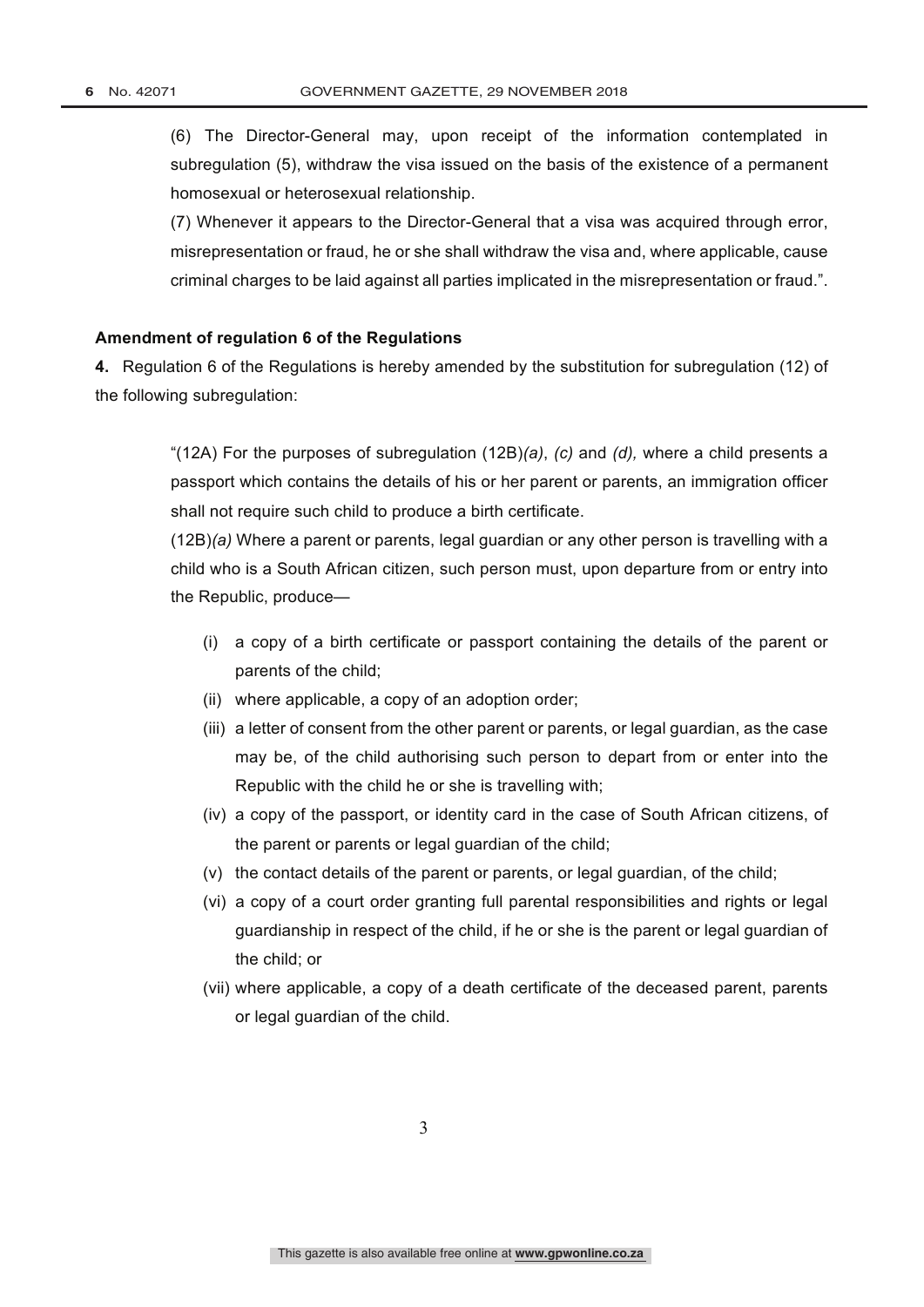(6) The Director-General may, upon receipt of the information contemplated in subregulation (5), withdraw the visa issued on the basis of the existence of a permanent homosexual or heterosexual relationship.

(7) Whenever it appears to the Director-General that a visa was acquired through error, misrepresentation or fraud, he or she shall withdraw the visa and, where applicable, cause criminal charges to be laid against all parties implicated in the misrepresentation or fraud.".

#### **Amendment of regulation 6 of the Regulations**

**4.** Regulation 6 of the Regulations is hereby amended by the substitution for subregulation (12) of the following subregulation:

> "(12A) For the purposes of subregulation (12B)*(a)*, *(c)* and *(d),* where a child presents a passport which contains the details of his or her parent or parents, an immigration officer shall not require such child to produce a birth certificate.

> (12B)*(a)* Where a parent or parents, legal guardian or any other person is travelling with a child who is a South African citizen, such person must, upon departure from or entry into the Republic, produce—

- (i) a copy of a birth certificate or passport containing the details of the parent or parents of the child;
- (ii) where applicable, a copy of an adoption order;
- (iii) a letter of consent from the other parent or parents, or legal guardian, as the case may be, of the child authorising such person to depart from or enter into the Republic with the child he or she is travelling with;
- (iv) a copy of the passport, or identity card in the case of South African citizens, of the parent or parents or legal guardian of the child;
- (v) the contact details of the parent or parents, or legal guardian, of the child;
- (vi) a copy of a court order granting full parental responsibilities and rights or legal guardianship in respect of the child, if he or she is the parent or legal guardian of the child; or
- (vii) where applicable, a copy of a death certificate of the deceased parent, parents or legal guardian of the child.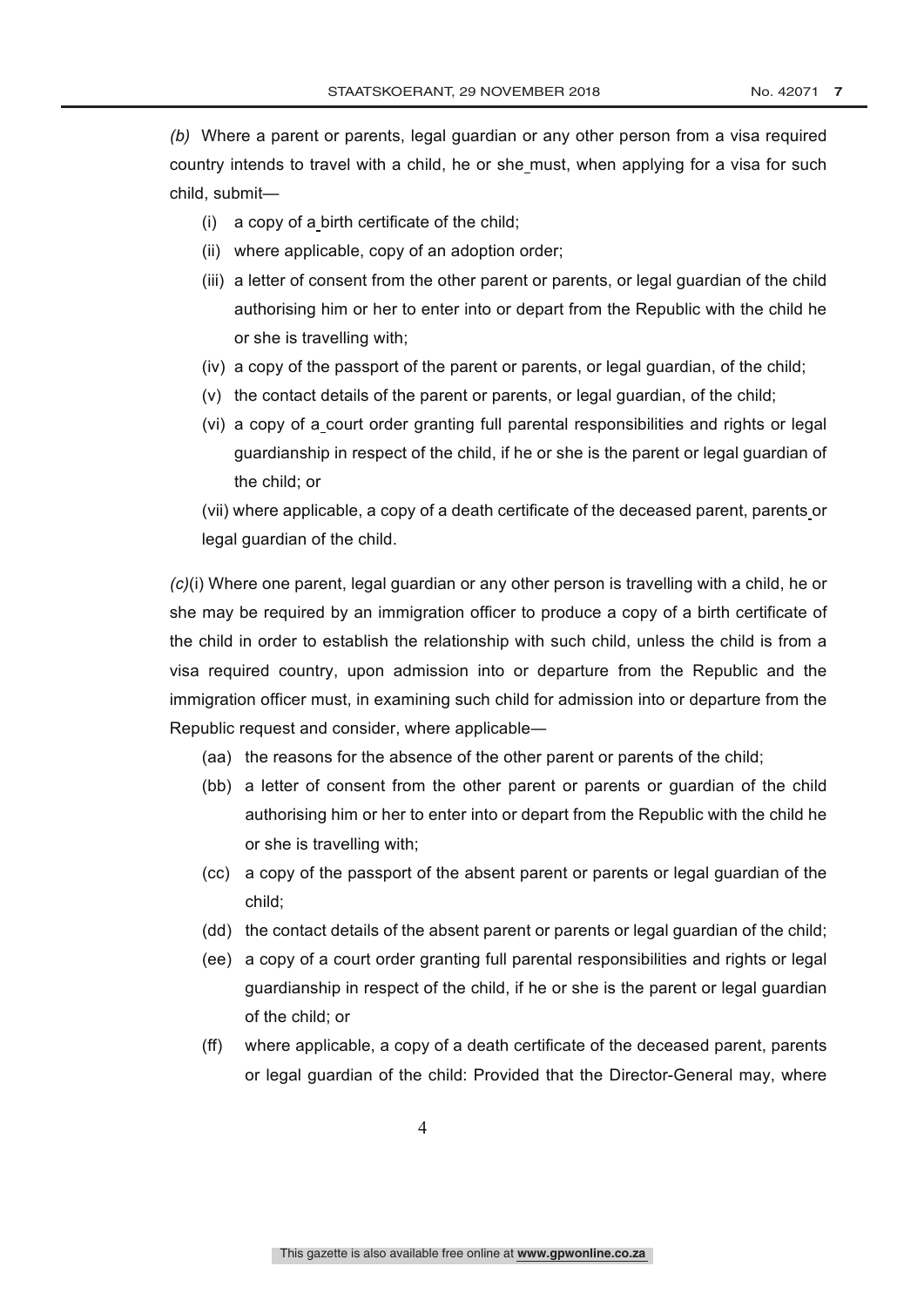*(b)* Where a parent or parents, legal guardian or any other person from a visa required country intends to travel with a child, he or she must, when applying for a visa for such child, submit—

- (i) a copy of a birth certificate of the child;
- (ii) where applicable, copy of an adoption order;
- (iii) a letter of consent from the other parent or parents, or legal guardian of the child authorising him or her to enter into or depart from the Republic with the child he or she is travelling with;
- (iv) a copy of the passport of the parent or parents, or legal guardian, of the child;
- (v) the contact details of the parent or parents, or legal guardian, of the child;
- (vi) a copy of a court order granting full parental responsibilities and rights or legal guardianship in respect of the child, if he or she is the parent or legal guardian of the child; or

(vii) where applicable, a copy of a death certificate of the deceased parent, parents or legal guardian of the child.

*(c)*(i) Where one parent, legal guardian or any other person is travelling with a child, he or she may be required by an immigration officer to produce a copy of a birth certificate of the child in order to establish the relationship with such child, unless the child is from a visa required country, upon admission into or departure from the Republic and the immigration officer must, in examining such child for admission into or departure from the Republic request and consider, where applicable―

- (aa) the reasons for the absence of the other parent or parents of the child;
- (bb) a letter of consent from the other parent or parents or guardian of the child authorising him or her to enter into or depart from the Republic with the child he or she is travelling with;
- (cc) a copy of the passport of the absent parent or parents or legal guardian of the child;
- (dd) the contact details of the absent parent or parents or legal guardian of the child;
- (ee) a copy of a court order granting full parental responsibilities and rights or legal guardianship in respect of the child, if he or she is the parent or legal guardian of the child; or
- (ff) where applicable, a copy of a death certificate of the deceased parent, parents or legal guardian of the child: Provided that the Director-General may, where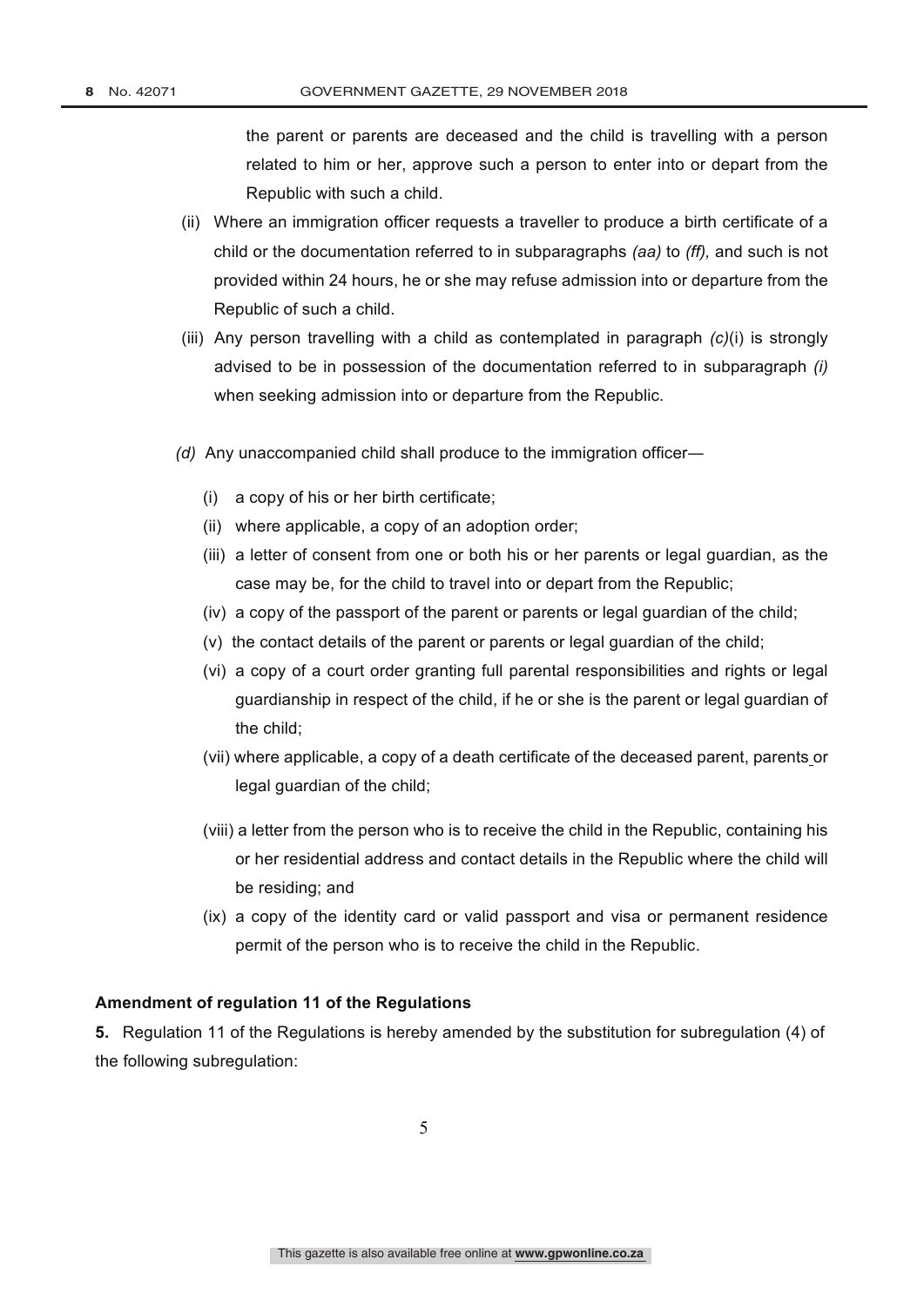the parent or parents are deceased and the child is travelling with a person related to him or her, approve such a person to enter into or depart from the Republic with such a child.

- (ii) Where an immigration officer requests a traveller to produce a birth certificate of a child or the documentation referred to in subparagraphs *(aa)* to *(ff),* and such is not provided within 24 hours, he or she may refuse admission into or departure from the Republic of such a child.
- (iii) Any person travelling with a child as contemplated in paragraph *(c)*(i) is strongly advised to be in possession of the documentation referred to in subparagraph *(i)* when seeking admission into or departure from the Republic.
- *(d)* Any unaccompanied child shall produce to the immigration officer―
	- (i) a copy of his or her birth certificate;
	- (ii) where applicable, a copy of an adoption order;
	- (iii) a letter of consent from one or both his or her parents or legal guardian, as the case may be, for the child to travel into or depart from the Republic;
	- (iv) a copy of the passport of the parent or parents or legal guardian of the child;
	- (v) the contact details of the parent or parents or legal guardian of the child;
	- (vi) a copy of a court order granting full parental responsibilities and rights or legal guardianship in respect of the child, if he or she is the parent or legal guardian of the child;
	- (vii) where applicable, a copy of a death certificate of the deceased parent, parents or legal guardian of the child;
	- (viii) a letter from the person who is to receive the child in the Republic, containing his or her residential address and contact details in the Republic where the child will be residing; and
	- (ix) a copy of the identity card or valid passport and visa or permanent residence permit of the person who is to receive the child in the Republic.

#### **Amendment of regulation 11 of the Regulations**

**5.** Regulation 11 of the Regulations is hereby amended by the substitution for subregulation (4) of the following subregulation:

5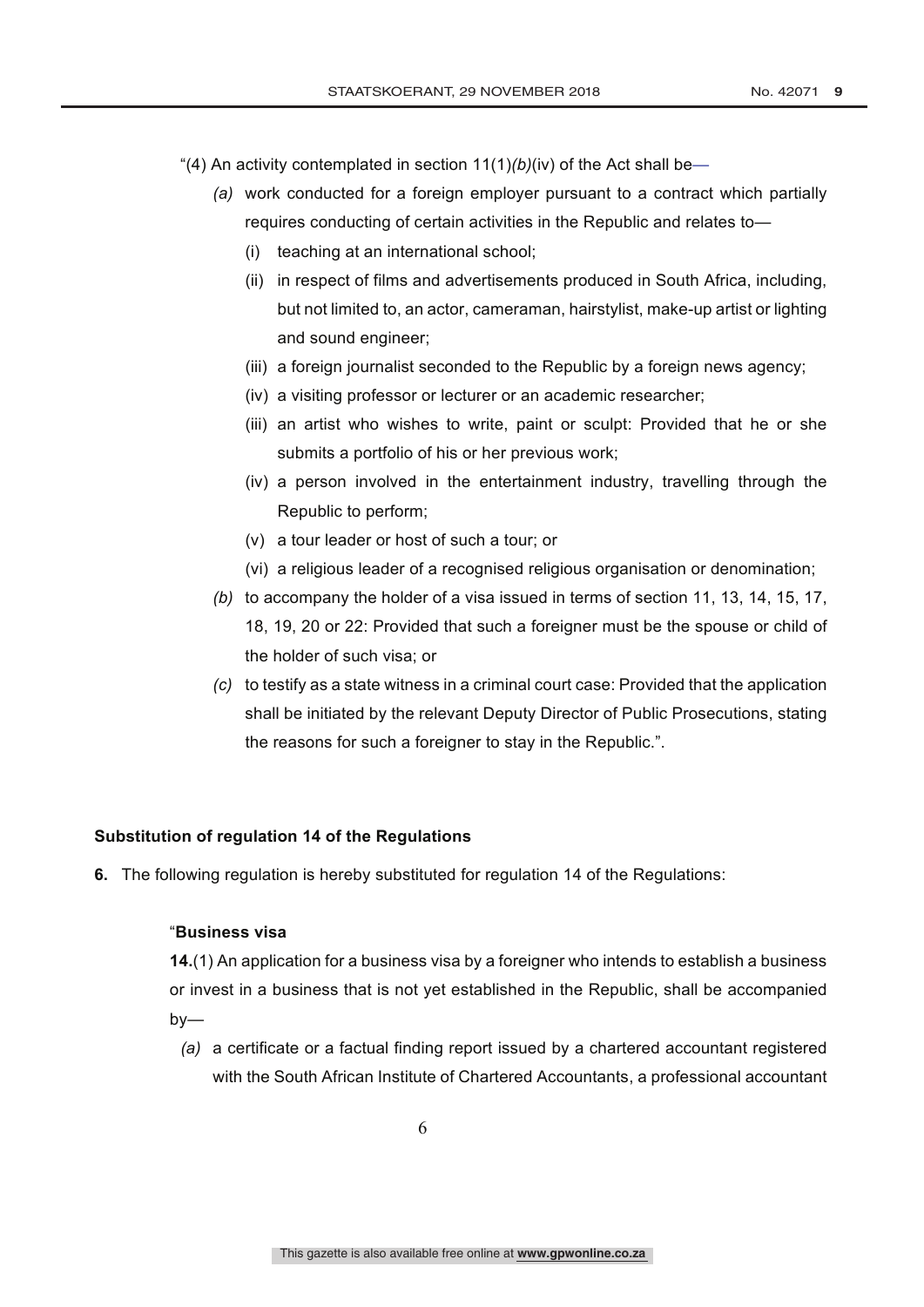- "(4) An activity contemplated in section 11(1)*(b)*(iv) of the Act shall be—
	- *(a)* work conducted for a foreign employer pursuant to a contract which partially requires conducting of certain activities in the Republic and relates to—
		- (i) teaching at an international school;
		- (ii) in respect of films and advertisements produced in South Africa, including, but not limited to, an actor, cameraman, hairstylist, make-up artist or lighting and sound engineer;
		- (iii) a foreign journalist seconded to the Republic by a foreign news agency;
		- (iv) a visiting professor or lecturer or an academic researcher;
		- (iii) an artist who wishes to write, paint or sculpt: Provided that he or she submits a portfolio of his or her previous work;
		- (iv) a person involved in the entertainment industry, travelling through the Republic to perform;
		- (v) a tour leader or host of such a tour; or
		- (vi) a religious leader of a recognised religious organisation or denomination;
	- *(b)* to accompany the holder of a visa issued in terms of section 11, 13, 14, 15, 17, 18, 19, 20 or 22: Provided that such a foreigner must be the spouse or child of the holder of such visa; or
	- *(c)* to testify as a state witness in a criminal court case: Provided that the application shall be initiated by the relevant Deputy Director of Public Prosecutions, stating the reasons for such a foreigner to stay in the Republic.".

#### **Substitution of regulation 14 of the Regulations**

**6.** The following regulation is hereby substituted for regulation 14 of the Regulations:

#### "**Business visa**

**14.**(1) An application for a business visa by a foreigner who intends to establish a business or invest in a business that is not yet established in the Republic, shall be accompanied by—

*(a)* a certificate or a factual finding report issued by a chartered accountant registered with the South African Institute of Chartered Accountants, a professional accountant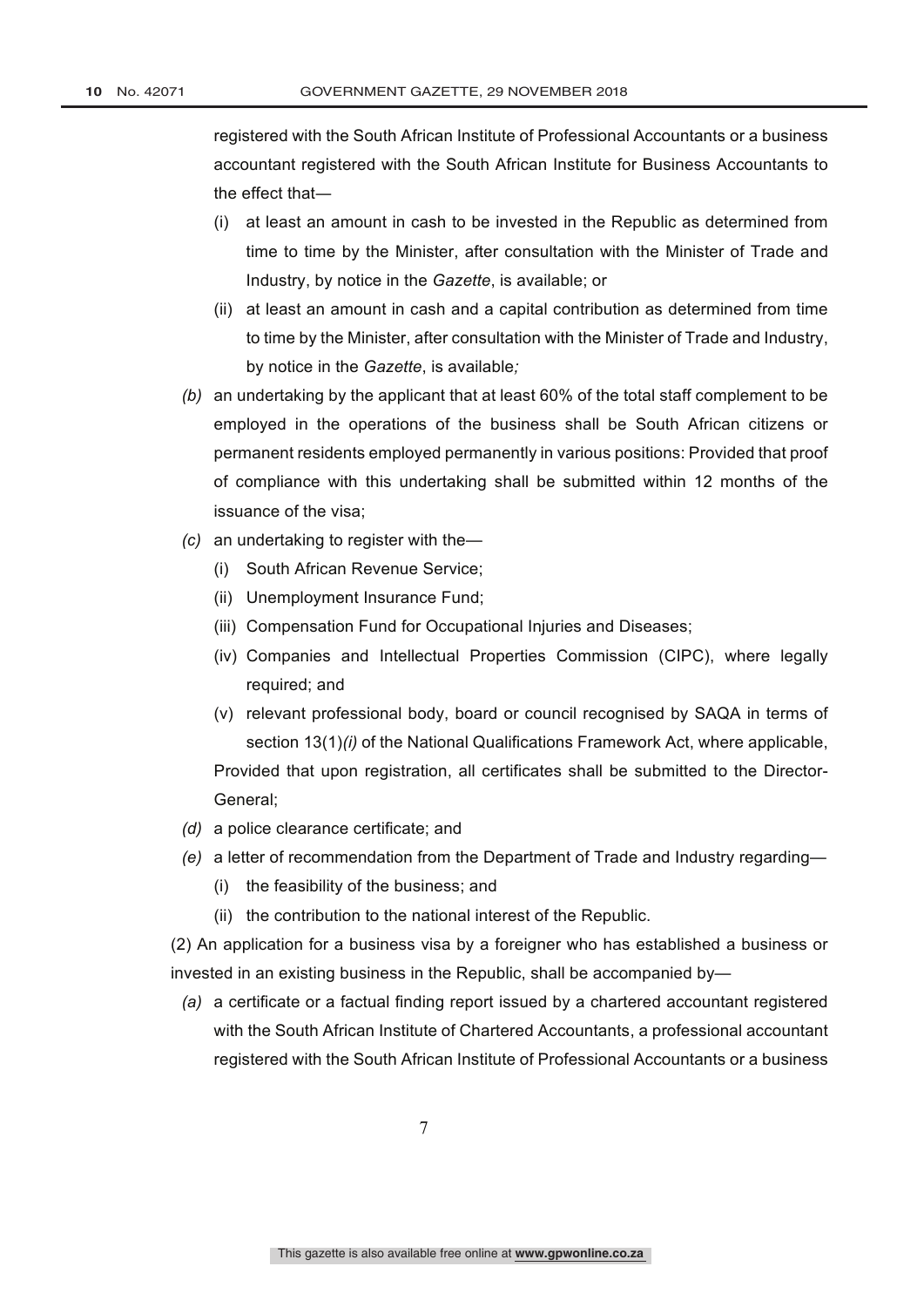registered with the South African Institute of Professional Accountants or a business accountant registered with the South African Institute for Business Accountants to the effect that―

- (i) at least an amount in cash to be invested in the Republic as determined from time to time by the Minister, after consultation with the Minister of Trade and Industry, by notice in the *Gazette*, is available; or
- (ii) at least an amount in cash and a capital contribution as determined from time to time by the Minister, after consultation with the Minister of Trade and Industry, by notice in the *Gazette*, is available*;*
- *(b)* an undertaking by the applicant that at least 60% of the total staff complement to be employed in the operations of the business shall be South African citizens or permanent residents employed permanently in various positions: Provided that proof of compliance with this undertaking shall be submitted within 12 months of the issuance of the visa;
- *(c)* an undertaking to register with the—
	- (i) South African Revenue Service;
	- (ii) Unemployment Insurance Fund;
	- (iii) Compensation Fund for Occupational Injuries and Diseases;
	- (iv) Companies and Intellectual Properties Commission (CIPC), where legally required; and
	- (v) relevant professional body, board or council recognised by SAQA in terms of section 13(1)*(i)* of the National Qualifications Framework Act, where applicable, Provided that upon registration, all certificates shall be submitted to the Director-General;
- *(d)* a police clearance certificate; and
- *(e)* a letter of recommendation from the Department of Trade and Industry regarding—
	- (i) the feasibility of the business; and
	- (ii) the contribution to the national interest of the Republic.

(2) An application for a business visa by a foreigner who has established a business or invested in an existing business in the Republic, shall be accompanied by—

*(a)* a certificate or a factual finding report issued by a chartered accountant registered with the South African Institute of Chartered Accountants, a professional accountant registered with the South African Institute of Professional Accountants or a business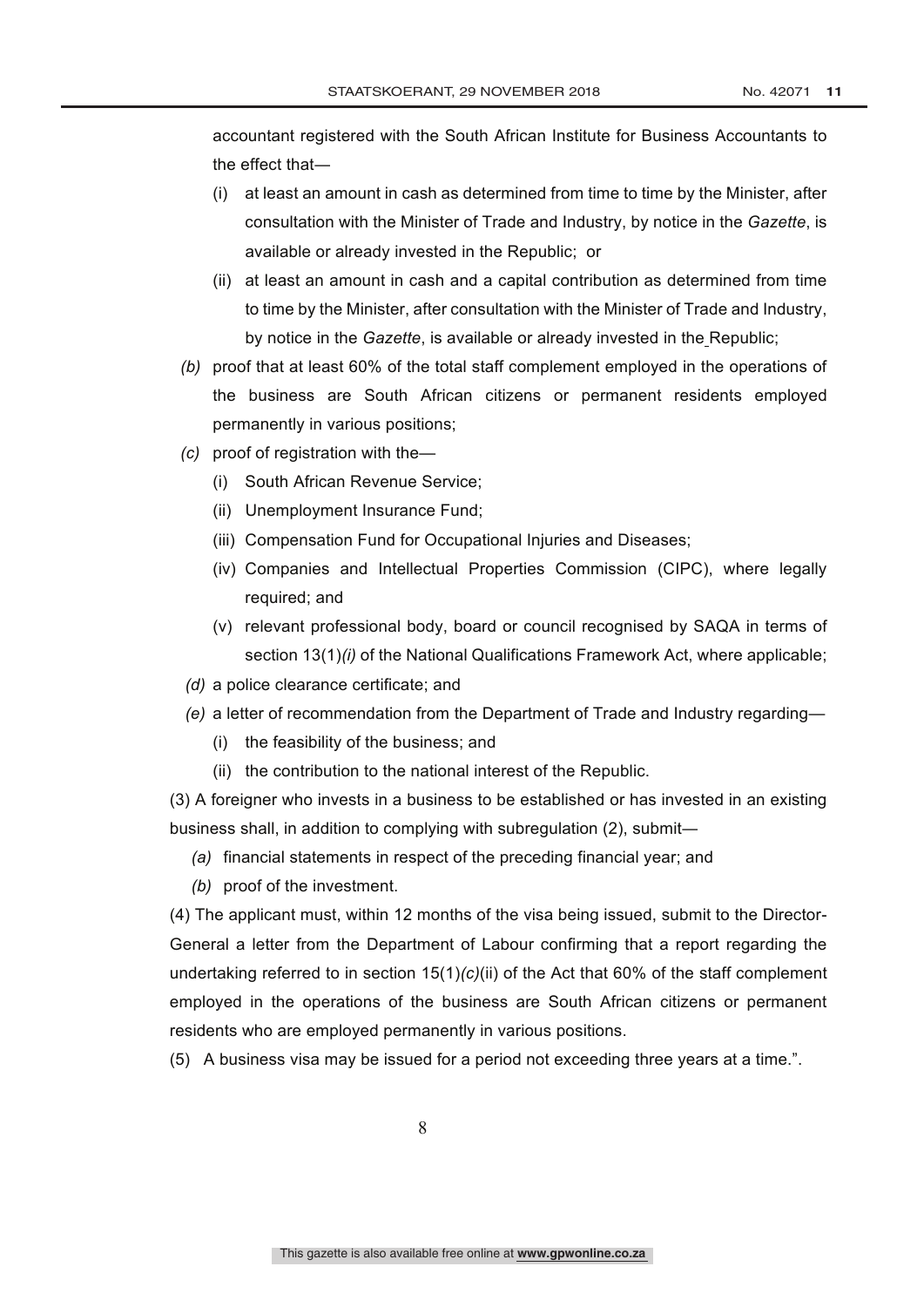accountant registered with the South African Institute for Business Accountants to the effect that―

- (i) at least an amount in cash as determined from time to time by the Minister, after consultation with the Minister of Trade and Industry, by notice in the *Gazette*, is available or already invested in the Republic; or
- (ii) at least an amount in cash and a capital contribution as determined from time to time by the Minister, after consultation with the Minister of Trade and Industry, by notice in the *Gazette*, is available or already invested in the Republic;
- *(b)* proof that at least 60% of the total staff complement employed in the operations of the business are South African citizens or permanent residents employed permanently in various positions;
- *(c)* proof of registration with the—
	- (i) South African Revenue Service;
	- (ii) Unemployment Insurance Fund;
	- (iii) Compensation Fund for Occupational Injuries and Diseases;
	- (iv) Companies and Intellectual Properties Commission (CIPC), where legally required; and
	- (v) relevant professional body, board or council recognised by SAQA in terms of section 13(1)*(i)* of the National Qualifications Framework Act, where applicable;
- *(d)* a police clearance certificate; and
- *(e)* a letter of recommendation from the Department of Trade and Industry regarding—
	- (i) the feasibility of the business; and
	- (ii) the contribution to the national interest of the Republic.

(3) A foreigner who invests in a business to be established or has invested in an existing business shall, in addition to complying with subregulation (2), submit―

- *(a)* financial statements in respect of the preceding financial year; and
- *(b)* proof of the investment.

(4) The applicant must, within 12 months of the visa being issued, submit to the Director-General a letter from the Department of Labour confirming that a report regarding the undertaking referred to in section 15(1)*(c)*(ii) of the Act that 60% of the staff complement employed in the operations of the business are South African citizens or permanent residents who are employed permanently in various positions.

(5) A business visa may be issued for a period not exceeding three years at a time.".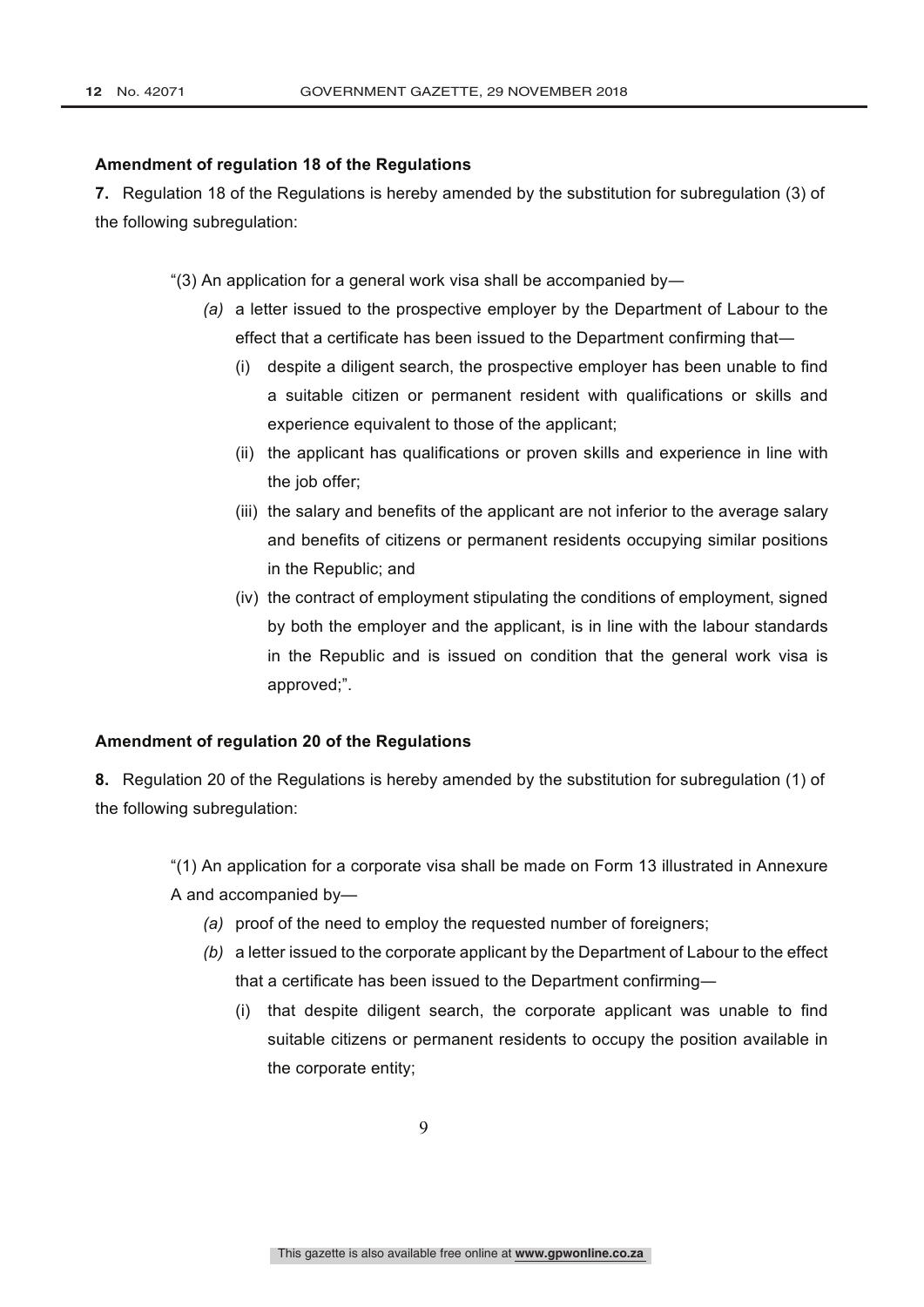#### **Amendment of regulation 18 of the Regulations**

**7.** Regulation 18 of the Regulations is hereby amended by the substitution for subregulation (3) of the following subregulation:

- "(3) An application for a general work visa shall be accompanied by―
	- *(a)* a letter issued to the prospective employer by the Department of Labour to the effect that a certificate has been issued to the Department confirming that―
		- (i) despite a diligent search, the prospective employer has been unable to find a suitable citizen or permanent resident with qualifications or skills and experience equivalent to those of the applicant;
		- (ii) the applicant has qualifications or proven skills and experience in line with the job offer;
		- (iii) the salary and benefits of the applicant are not inferior to the average salary and benefits of citizens or permanent residents occupying similar positions in the Republic; and
		- (iv) the contract of employment stipulating the conditions of employment, signed by both the employer and the applicant, is in line with the labour standards in the Republic and is issued on condition that the general work visa is approved;".

#### **Amendment of regulation 20 of the Regulations**

**8.** Regulation 20 of the Regulations is hereby amended by the substitution for subregulation (1) of the following subregulation:

> "(1) An application for a corporate visa shall be made on Form 13 illustrated in Annexure A and accompanied by—

- *(a)* proof of the need to employ the requested number of foreigners;
- *(b)* a letter issued to the corporate applicant by the Department of Labour to the effect that a certificate has been issued to the Department confirming―
	- (i) that despite diligent search, the corporate applicant was unable to find suitable citizens or permanent residents to occupy the position available in the corporate entity;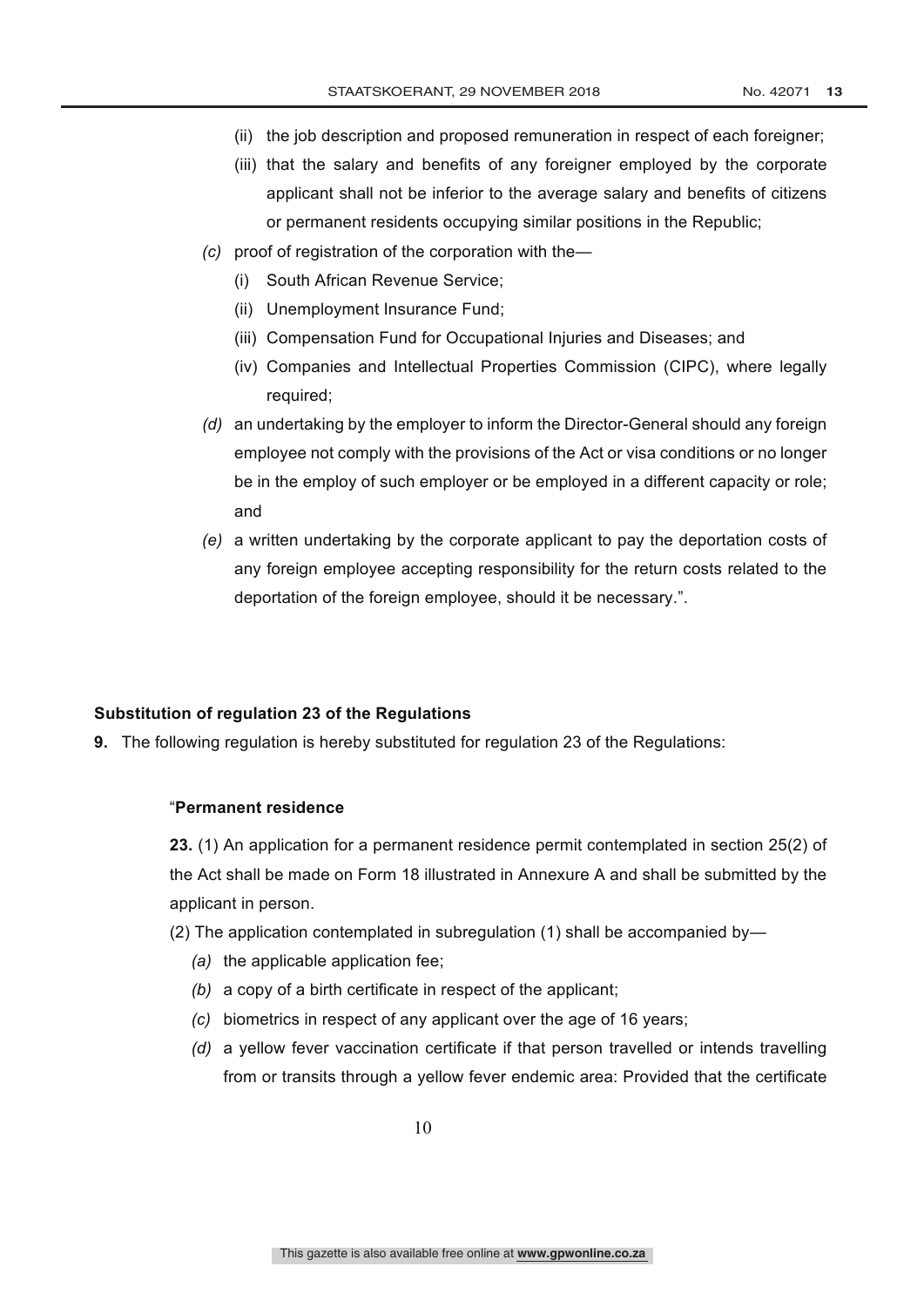- (ii) the job description and proposed remuneration in respect of each foreigner;
- (iii) that the salary and benefits of any foreigner employed by the corporate applicant shall not be inferior to the average salary and benefits of citizens or permanent residents occupying similar positions in the Republic;
- *(c)* proof of registration of the corporation with the—
	- (i) South African Revenue Service;
	- (ii) Unemployment Insurance Fund;
	- (iii) Compensation Fund for Occupational Injuries and Diseases; and
	- (iv) Companies and Intellectual Properties Commission (CIPC), where legally required;
- *(d)* an undertaking by the employer to inform the Director-General should any foreign employee not comply with the provisions of the Act or visa conditions or no longer be in the employ of such employer or be employed in a different capacity or role; and
- *(e)* a written undertaking by the corporate applicant to pay the deportation costs of any foreign employee accepting responsibility for the return costs related to the deportation of the foreign employee, should it be necessary.".

#### **Substitution of regulation 23 of the Regulations**

**9.** The following regulation is hereby substituted for regulation 23 of the Regulations:

#### "**Permanent residence**

**23.** (1) An application for a permanent residence permit contemplated in section 25(2) of the Act shall be made on Form 18 illustrated in Annexure A and shall be submitted by the applicant in person.

- (2) The application contemplated in subregulation (1) shall be accompanied by—
	- *(a)* the applicable application fee;
	- *(b)* a copy of a birth certificate in respect of the applicant;
	- *(c)* biometrics in respect of any applicant over the age of 16 years;
	- *(d)* a yellow fever vaccination certificate if that person travelled or intends travelling from or transits through a yellow fever endemic area: Provided that the certificate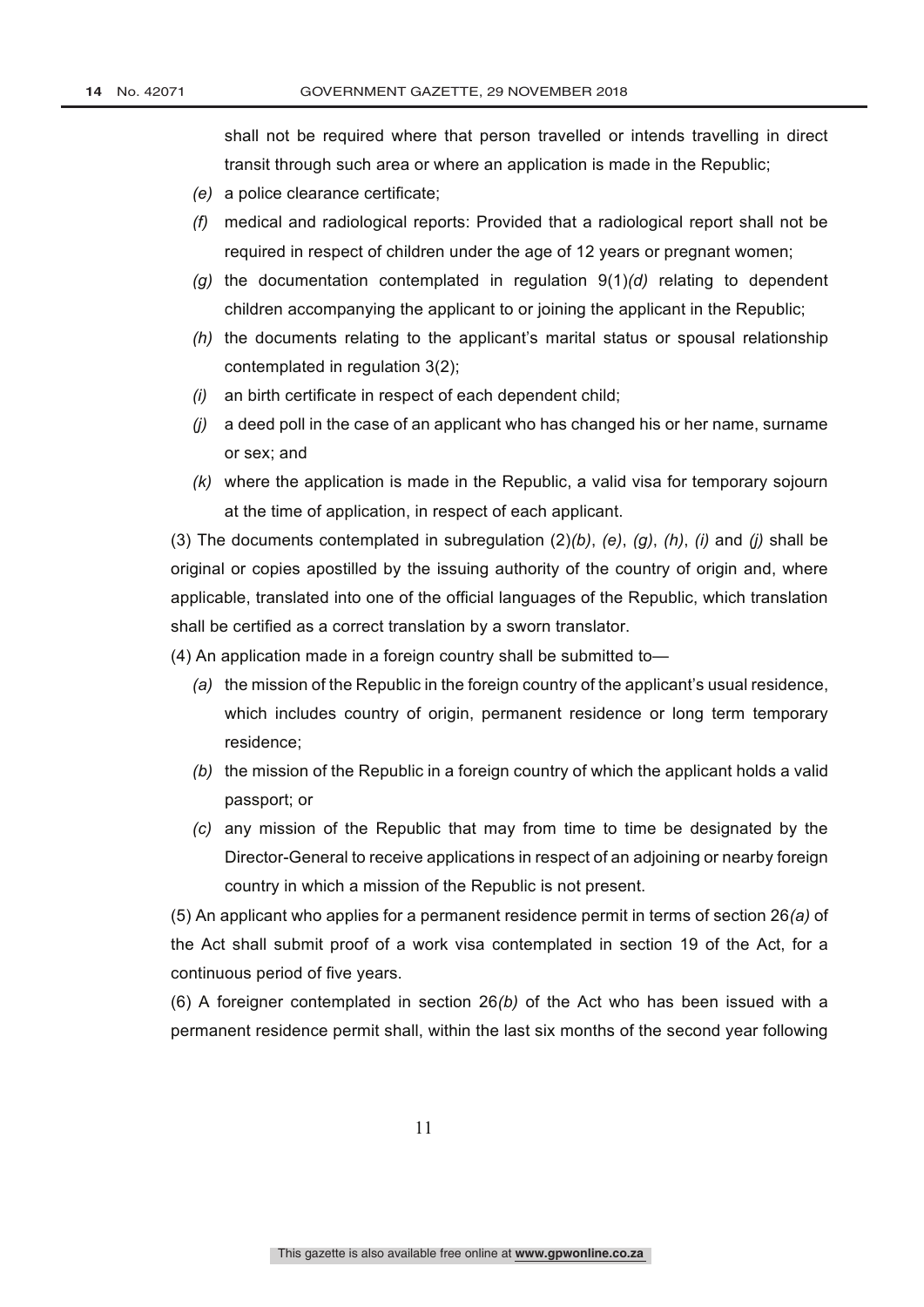shall not be required where that person travelled or intends travelling in direct transit through such area or where an application is made in the Republic;

- *(e)* a police clearance certificate;
- *(f)* medical and radiological reports: Provided that a radiological report shall not be required in respect of children under the age of 12 years or pregnant women;
- *(g)* the documentation contemplated in regulation 9(1)*(d)* relating to dependent children accompanying the applicant to or joining the applicant in the Republic;
- *(h)* the documents relating to the applicant's marital status or spousal relationship contemplated in regulation 3(2);
- *(i)* an birth certificate in respect of each dependent child;
- *(j)* a deed poll in the case of an applicant who has changed his or her name, surname or sex; and
- *(k)* where the application is made in the Republic, a valid visa for temporary sojourn at the time of application, in respect of each applicant.

(3) The documents contemplated in subregulation (2)*(b)*, *(e)*, *(g)*, *(h)*, *(i)* and *(j)* shall be original or copies apostilled by the issuing authority of the country of origin and, where applicable, translated into one of the official languages of the Republic, which translation shall be certified as a correct translation by a sworn translator.

(4) An application made in a foreign country shall be submitted to—

- *(a)* the mission of the Republic in the foreign country of the applicant's usual residence, which includes country of origin, permanent residence or long term temporary residence;
- *(b)* the mission of the Republic in a foreign country of which the applicant holds a valid passport; or
- *(c)* any mission of the Republic that may from time to time be designated by the Director-General to receive applications in respect of an adjoining or nearby foreign country in which a mission of the Republic is not present.

(5) An applicant who applies for a permanent residence permit in terms of section 26*(a)* of the Act shall submit proof of a work visa contemplated in section 19 of the Act, for a continuous period of five years.

(6) A foreigner contemplated in section 26*(b)* of the Act who has been issued with a permanent residence permit shall, within the last six months of the second year following

11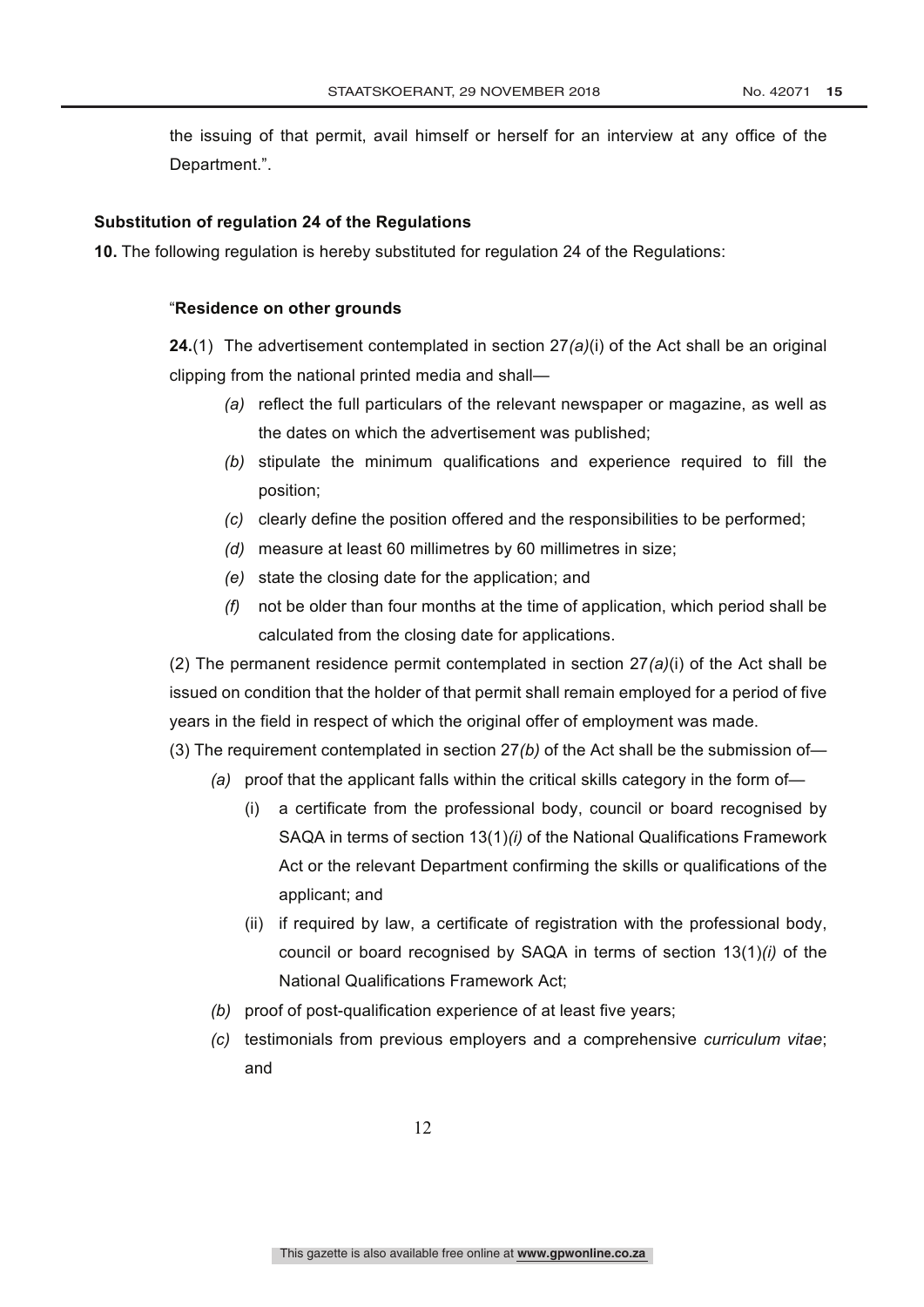the issuing of that permit, avail himself or herself for an interview at any office of the Department.".

#### **Substitution of regulation 24 of the Regulations**

**10.** The following regulation is hereby substituted for regulation 24 of the Regulations:

#### "**Residence on other grounds**

**24.**(1) The advertisement contemplated in section 27*(a)*(i) of the Act shall be an original clipping from the national printed media and shall—

- *(a)* reflect the full particulars of the relevant newspaper or magazine, as well as the dates on which the advertisement was published;
- *(b)* stipulate the minimum qualifications and experience required to fill the position;
- *(c)* clearly define the position offered and the responsibilities to be performed;
- *(d)* measure at least 60 millimetres by 60 millimetres in size;
- *(e)* state the closing date for the application; and
- *(f)* not be older than four months at the time of application, which period shall be calculated from the closing date for applications.

(2) The permanent residence permit contemplated in section 27*(a)*(i) of the Act shall be issued on condition that the holder of that permit shall remain employed for a period of five years in the field in respect of which the original offer of employment was made.

(3) The requirement contemplated in section 27*(b)* of the Act shall be the submission of—

- *(a)* proof that the applicant falls within the critical skills category in the form of—
	- (i) a certificate from the professional body, council or board recognised by SAQA in terms of section 13(1)*(i)* of the National Qualifications Framework Act or the relevant Department confirming the skills or qualifications of the applicant; and
	- (ii) if required by law, a certificate of registration with the professional body, council or board recognised by SAQA in terms of section 13(1)*(i)* of the National Qualifications Framework Act;
- *(b)* proof of post-qualification experience of at least five years;
- *(c)* testimonials from previous employers and a comprehensive *curriculum vitae*; and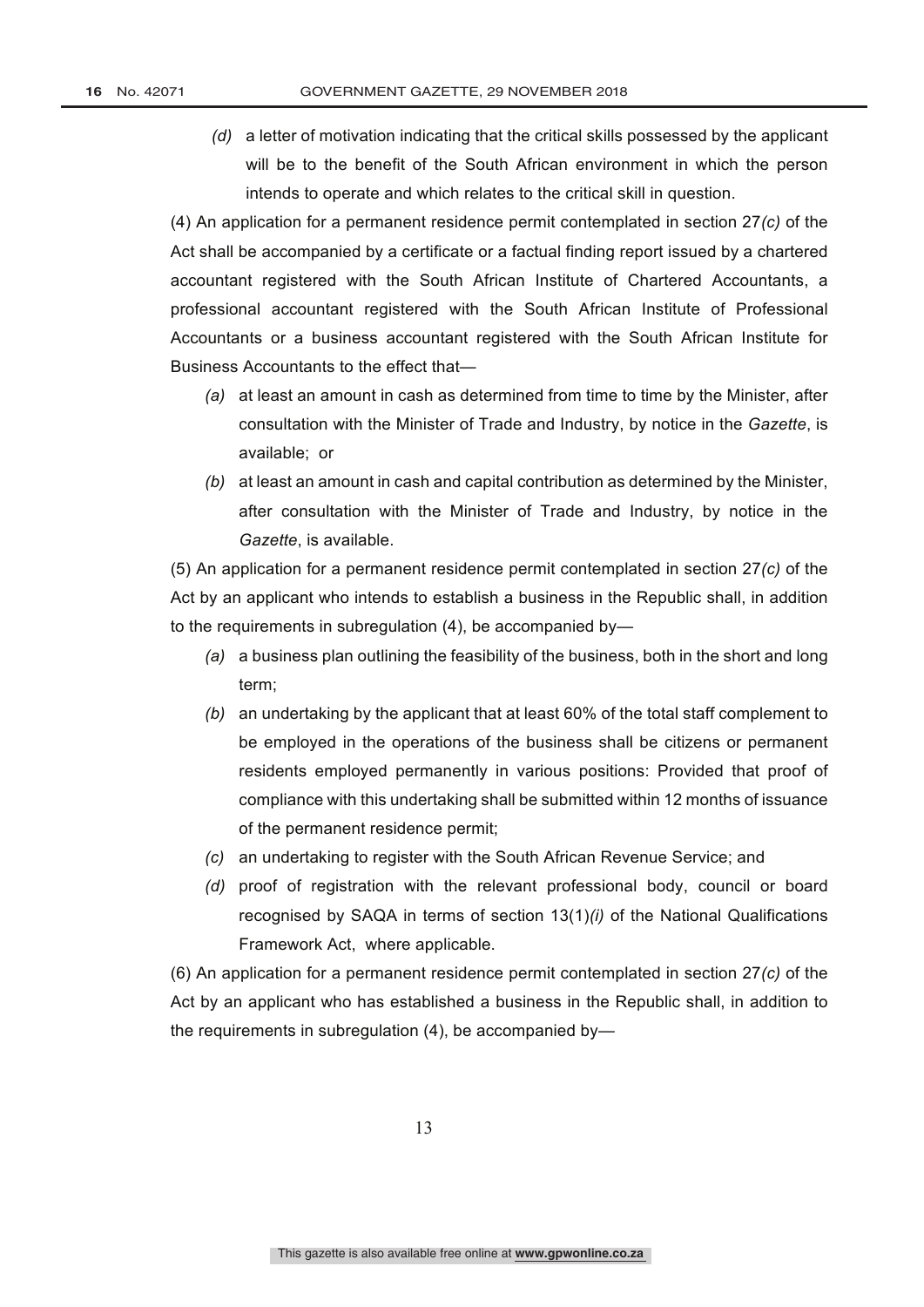*(d)* a letter of motivation indicating that the critical skills possessed by the applicant will be to the benefit of the South African environment in which the person intends to operate and which relates to the critical skill in question.

(4) An application for a permanent residence permit contemplated in section 27*(c)* of the Act shall be accompanied by a certificate or a factual finding report issued by a chartered accountant registered with the South African Institute of Chartered Accountants, a professional accountant registered with the South African Institute of Professional Accountants or a business accountant registered with the South African Institute for Business Accountants to the effect that—

- *(a)* at least an amount in cash as determined from time to time by the Minister, after consultation with the Minister of Trade and Industry, by notice in the *Gazette*, is available;or
- *(b)* at least an amount in cash and capital contribution as determined by the Minister, after consultation with the Minister of Trade and Industry, by notice in the *Gazette*, is available.

(5) An application for a permanent residence permit contemplated in section 27*(c)* of the Act by an applicant who intends to establish a business in the Republic shall, in addition to the requirements in subregulation (4), be accompanied by—

- *(a)* a business plan outlining the feasibility of the business, both in the short and long term;
- *(b)* an undertaking by the applicant that at least 60% of the total staff complement to be employed in the operations of the business shall be citizens or permanent residents employed permanently in various positions: Provided that proof of compliance with this undertaking shall be submitted within 12 months of issuance of the permanent residence permit;
- *(c)* an undertaking to register with the South African Revenue Service; and
- *(d)* proof of registration with the relevant professional body, council or board recognised by SAQA in terms of section 13(1)*(i)* of the National Qualifications Framework Act, where applicable.

(6) An application for a permanent residence permit contemplated in section 27*(c)* of the Act by an applicant who has established a business in the Republic shall, in addition to the requirements in subregulation (4), be accompanied by—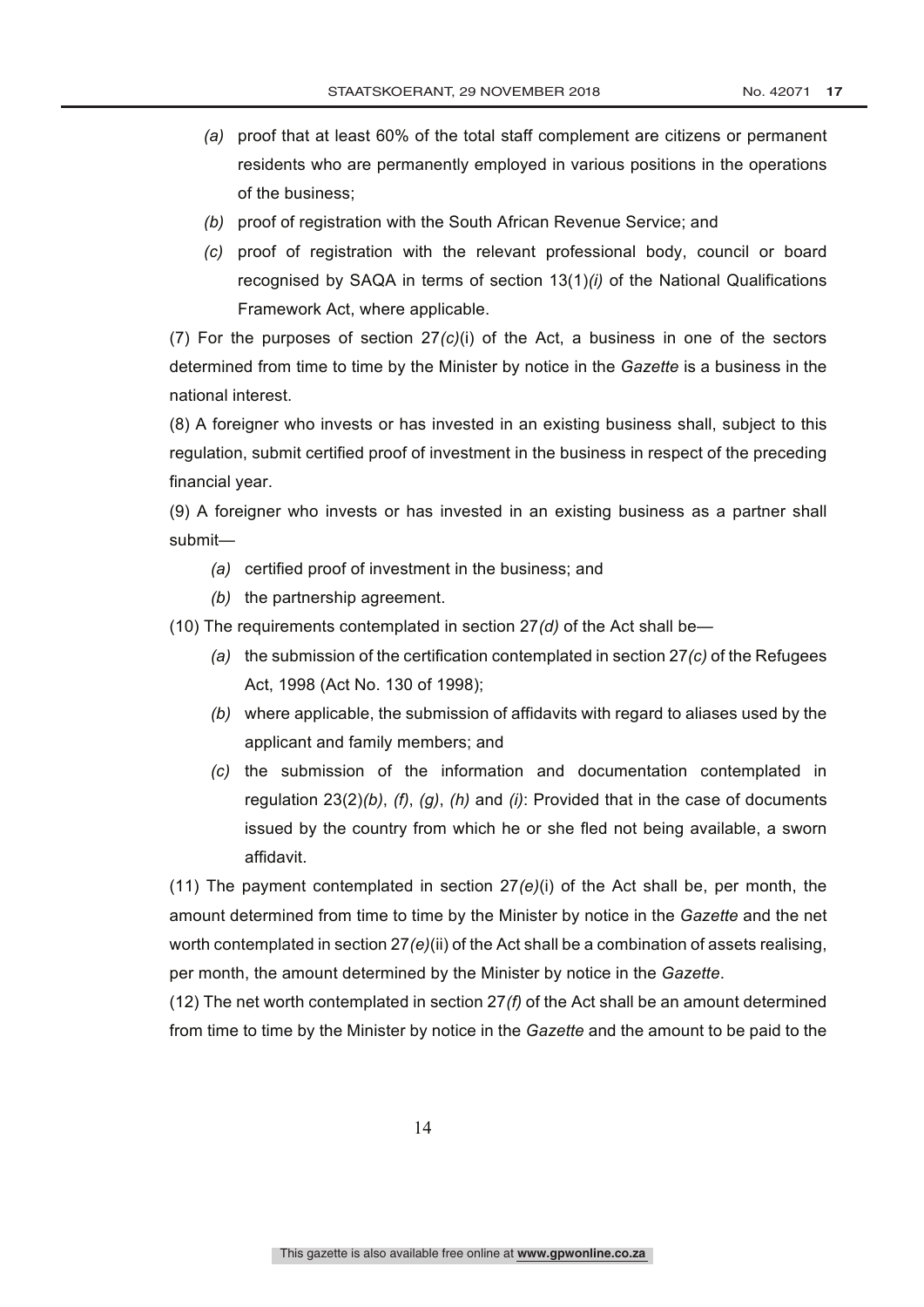- *(a)* proof that at least 60% of the total staff complement are citizens or permanent residents who are permanently employed in various positions in the operations of the business;
- *(b)* proof of registration with the South African Revenue Service; and
- *(c)* proof of registration with the relevant professional body, council or board recognised by SAQA in terms of section 13(1)*(i)* of the National Qualifications Framework Act, where applicable.

(7) For the purposes of section 27*(c)*(i) of the Act, a business in one of the sectors determined from time to time by the Minister by notice in the *Gazette* is a business in the national interest.

(8) A foreigner who invests or has invested in an existing business shall, subject to this regulation, submit certified proof of investment in the business in respect of the preceding financial year.

(9) A foreigner who invests or has invested in an existing business as a partner shall submit—

- *(a)* certified proof of investment in the business; and
- *(b)* the partnership agreement.

(10) The requirements contemplated in section 27*(d)* of the Act shall be—

- *(a)* the submission of the certification contemplated in section 27*(c)* of the Refugees Act, 1998 (Act No. 130 of 1998);
- *(b)* where applicable, the submission of affidavits with regard to aliases used by the applicant and family members; and
- *(c)* the submission of the information and documentation contemplated in regulation 23(2)*(b)*, *(f)*, *(g)*, *(h)* and *(i)*: Provided that in the case of documents issued by the country from which he or she fled not being available, a sworn affidavit.

(11) The payment contemplated in section 27*(e)*(i) of the Act shall be, per month, the amount determined from time to time by the Minister by notice in the *Gazette* and the net worth contemplated in section 27*(e)*(ii) of the Act shall be a combination of assets realising, per month, the amount determined by the Minister by notice in the *Gazette*.

(12) The net worth contemplated in section 27*(f)* of the Act shall be an amount determined from time to time by the Minister by notice in the *Gazette* and the amount to be paid to the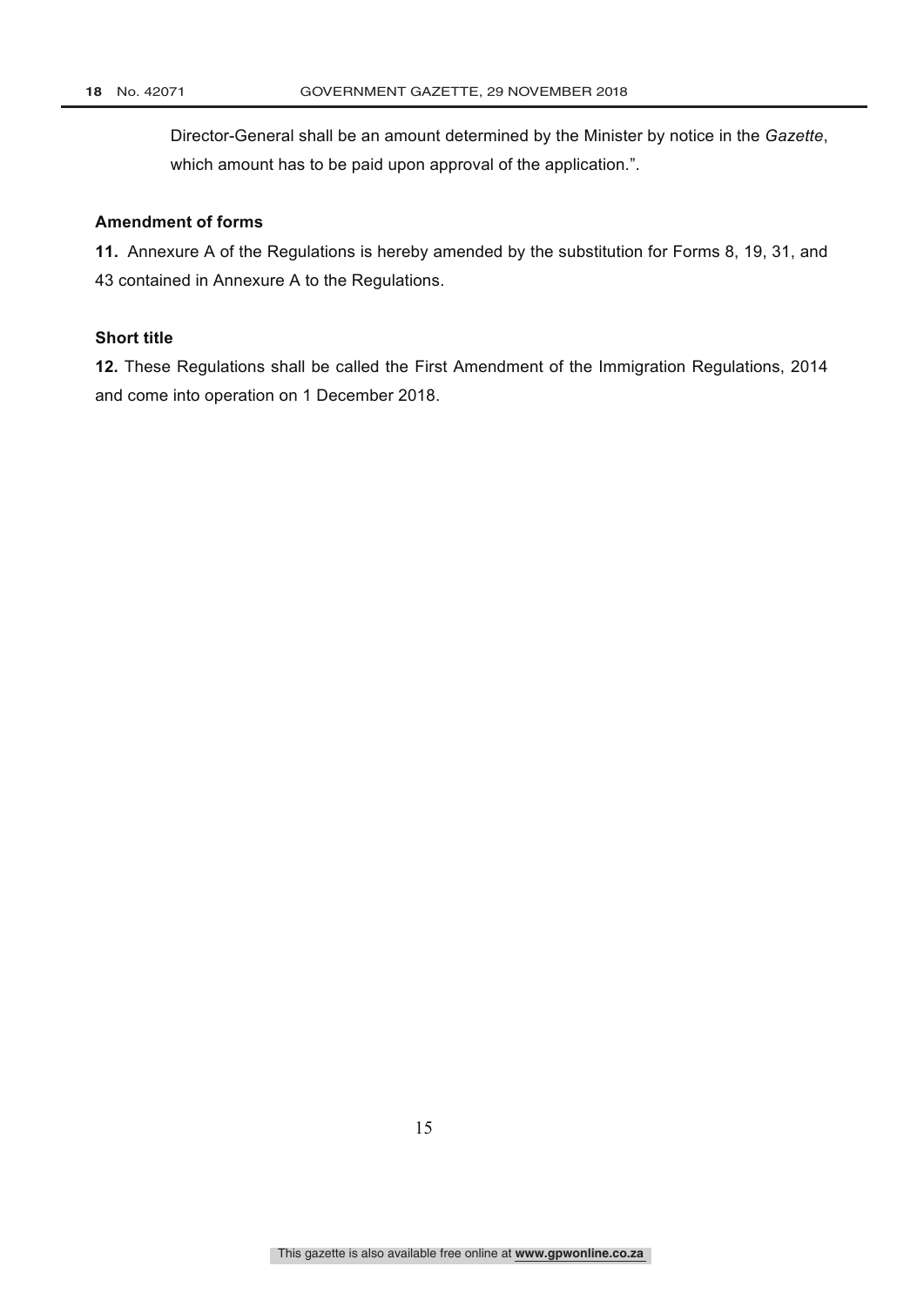Director-General shall be an amount determined by the Minister by notice in the *Gazette*, which amount has to be paid upon approval of the application.".

#### **Amendment of forms**

**11.** Annexure A of the Regulations is hereby amended by the substitution for Forms 8, 19, 31, and 43 contained in Annexure A to the Regulations.

#### **Short title**

**12.** These Regulations shall be called the First Amendment of the Immigration Regulations, 2014 and come into operation on 1 December 2018.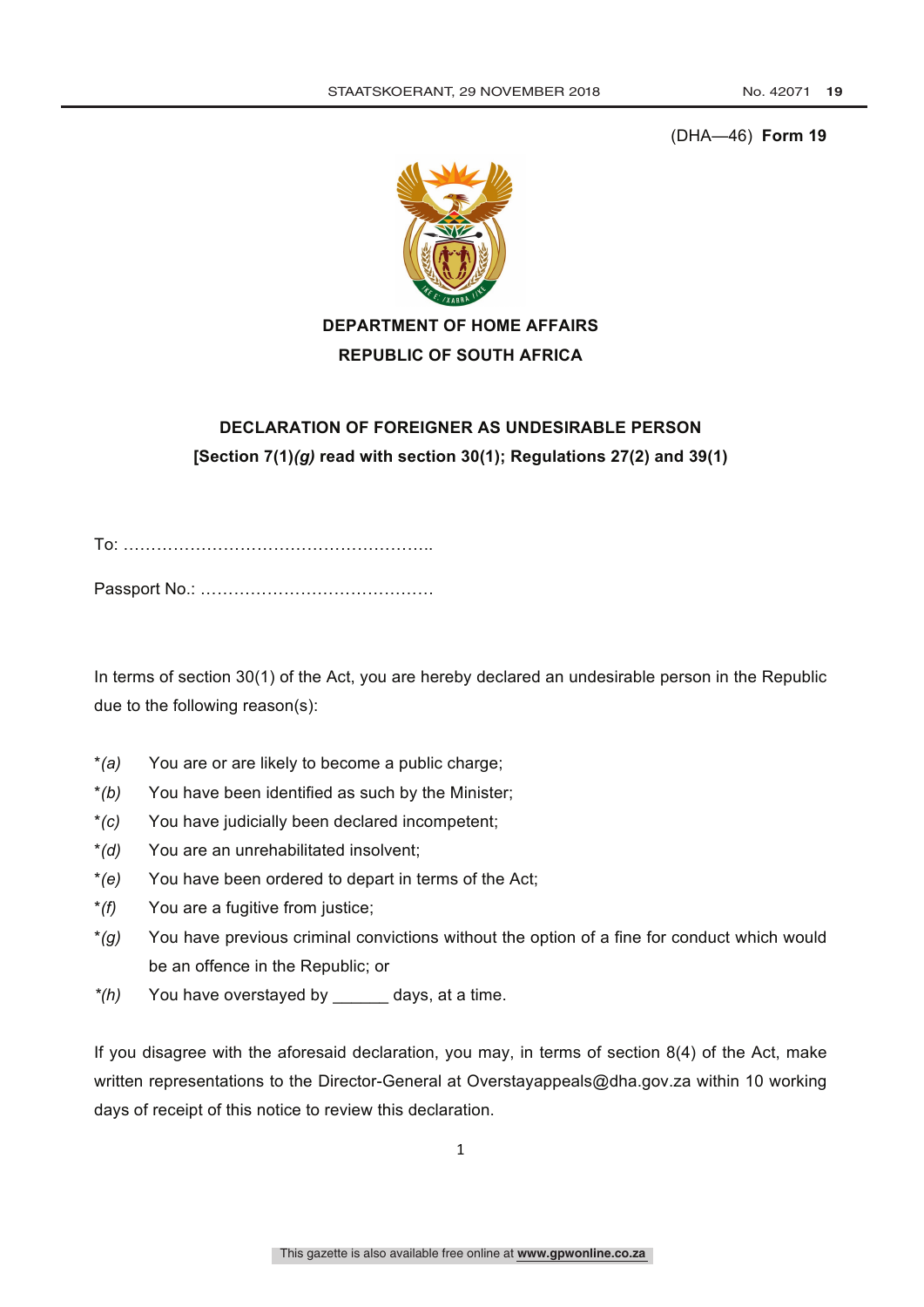(DHA—46) **Form 19**



# **DEPARTMENT OF HOME AFFAIRS REPUBLIC OF SOUTH AFRICA**

# **DECLARATION OF FOREIGNER AS UNDESIRABLE PERSON [Section 7(1)***(g)* **read with section 30(1); Regulations 27(2) and 39(1)**

To: ………………………………………………..

Passport No.: ……………………………………

In terms of section 30(1) of the Act, you are hereby declared an undesirable person in the Republic due to the following reason(s):

- \**(a)* You are or are likely to become a public charge;
- \**(b)* You have been identified as such by the Minister;
- \**(c)* You have judicially been declared incompetent;
- \**(d)* You are an unrehabilitated insolvent;
- \**(e)* You have been ordered to depart in terms of the Act;
- \**(f)* You are a fugitive from justice;
- \**(g)* You have previous criminal convictions without the option of a fine for conduct which would be an offence in the Republic; or
- *\*(h)* You have overstayed by \_\_\_\_\_\_ days, at a time.

If you disagree with the aforesaid declaration, you may, in terms of section 8(4) of the Act, make written representations to the Director-General at Overstayappeals@dha.gov.za within 10 working days of receipt of this notice to review this declaration.

1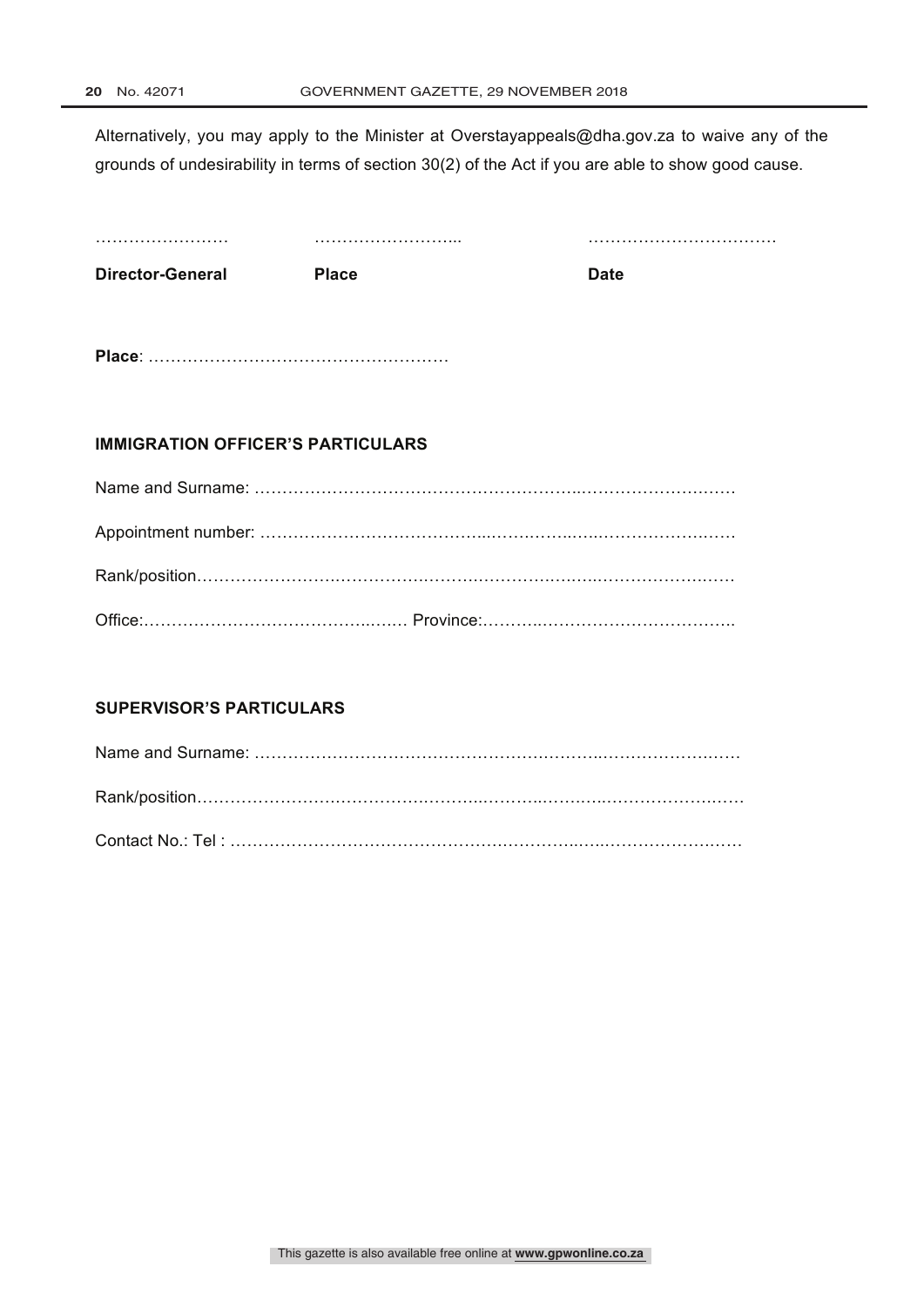Alternatively, you may apply to the Minister at Overstayappeals@dha.gov.za to waive any of the grounds of undesirability in terms of section 30(2) of the Act if you are able to show good cause.

| <b>Director-General</b>                  | <b>Place</b> | <b>Date</b> |  |
|------------------------------------------|--------------|-------------|--|
|                                          |              |             |  |
| <b>IMMIGRATION OFFICER'S PARTICULARS</b> |              |             |  |
|                                          |              |             |  |
|                                          |              |             |  |
|                                          |              |             |  |
|                                          |              |             |  |

#### **SUPERVISOR'S PARTICULARS**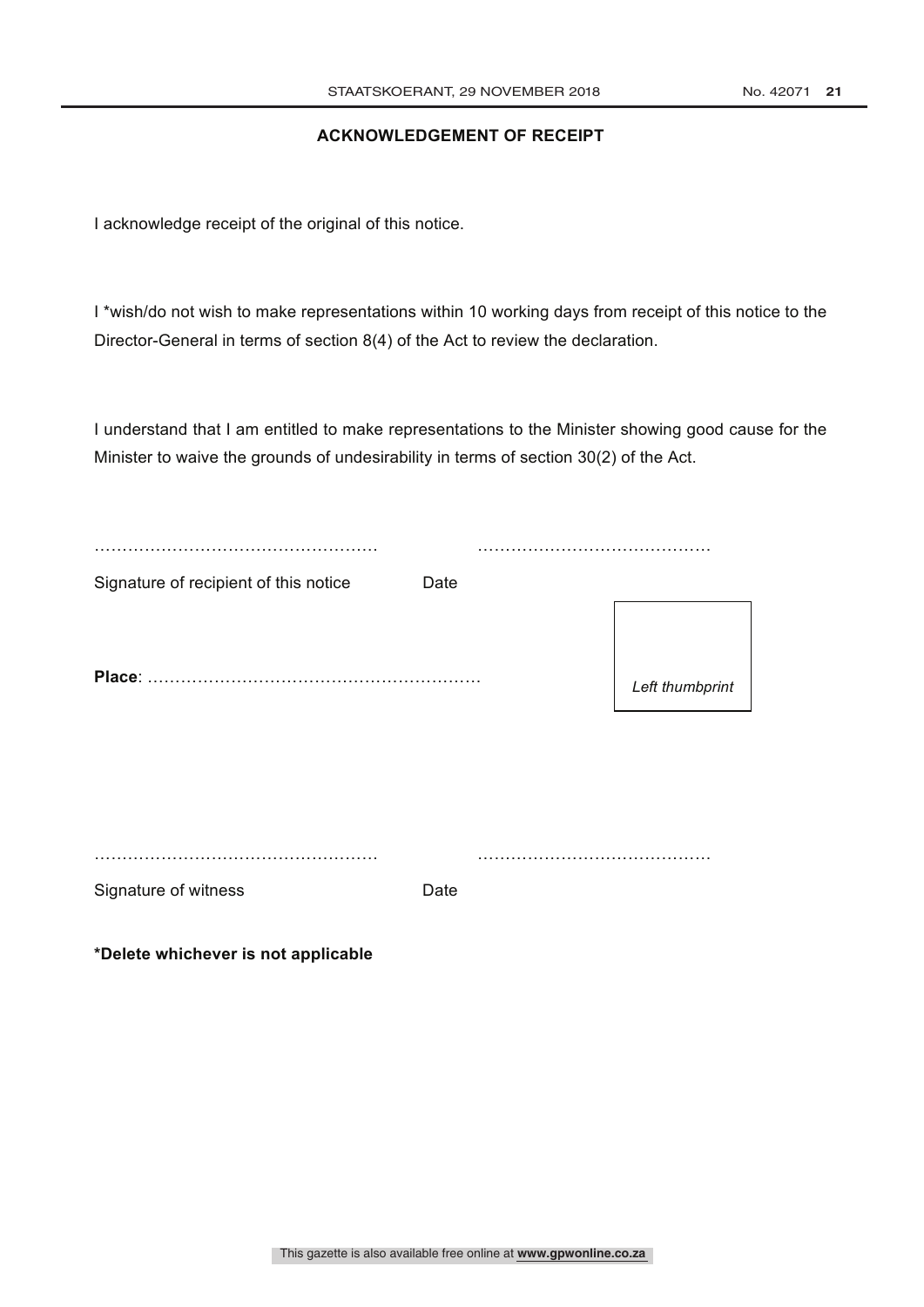#### **ACKNOWLEDGEMENT OF RECEIPT**

I acknowledge receipt of the original of this notice.

I \*wish/do not wish to make representations within 10 working days from receipt of this notice to the Director-General in terms of section 8(4) of the Act to review the declaration.

I understand that I am entitled to make representations to the Minister showing good cause for the Minister to waive the grounds of undesirability in terms of section 30(2) of the Act.

| Signature of recipient of this notice | Date |                 |
|---------------------------------------|------|-----------------|
|                                       |      |                 |
| Place:<br><u>.</u><br>.               |      |                 |
|                                       |      | Left thumbprint |
|                                       |      |                 |
|                                       |      |                 |
|                                       |      |                 |
|                                       |      |                 |
|                                       |      |                 |
| Signature of witness                  | Date |                 |

**\*Delete whichever is not applicable**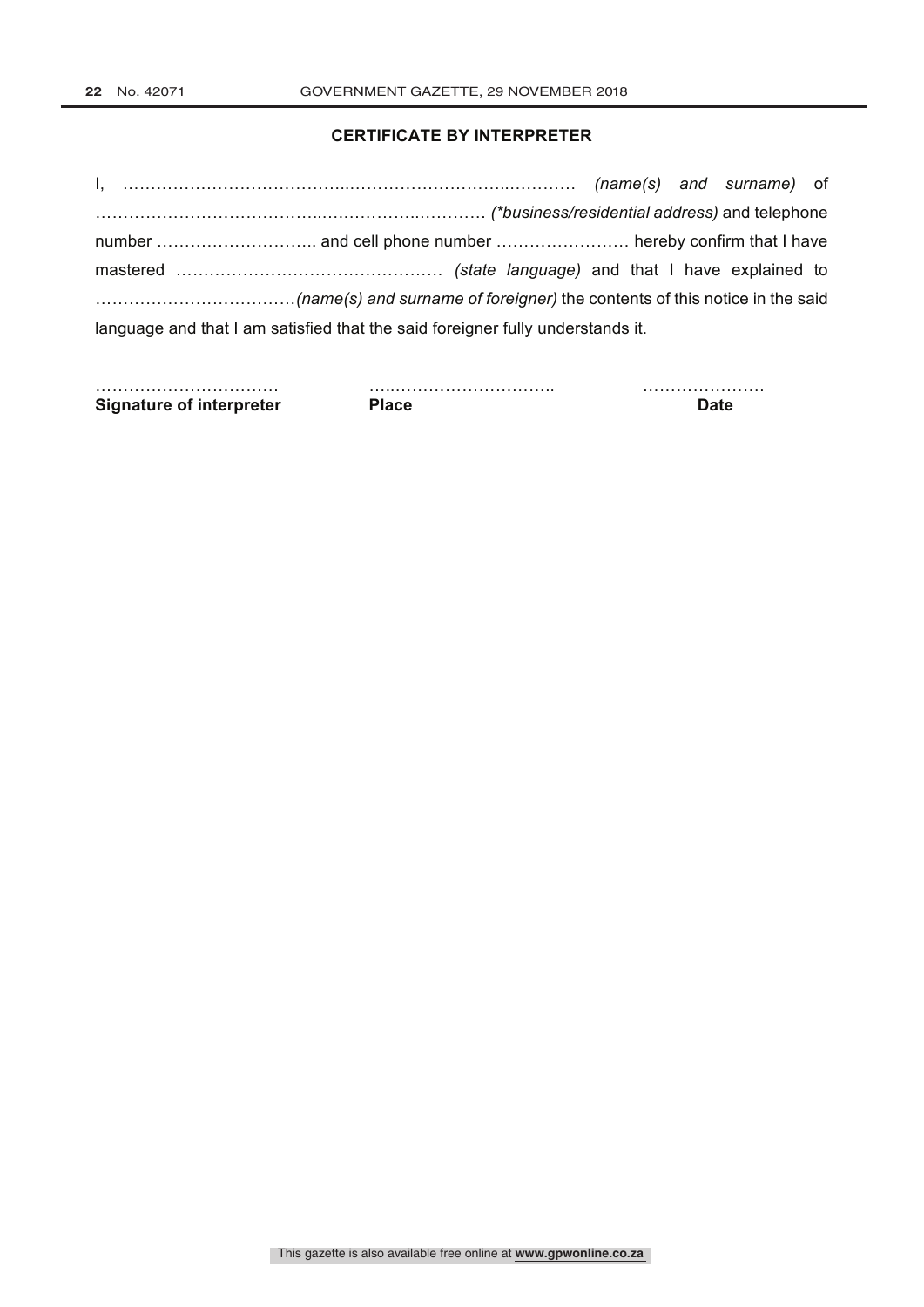#### **CERTIFICATE BY INTERPRETER**

I, …………………………………..………………………..………… *(name(s) and surname)* of …………………………………..….…………..………… *(\*business/residential address)* and telephone number ……………………….. and cell phone number …………………… hereby confirm that I have mastered ………………………………………… *(state language)* and that I have explained to ………………………………*(name(s) and surname of foreigner)* the contents of this notice in the said language and that I am satisfied that the said foreigner fully understands it.

| <b>Signature of interpreter</b> | пасе |  |
|---------------------------------|------|--|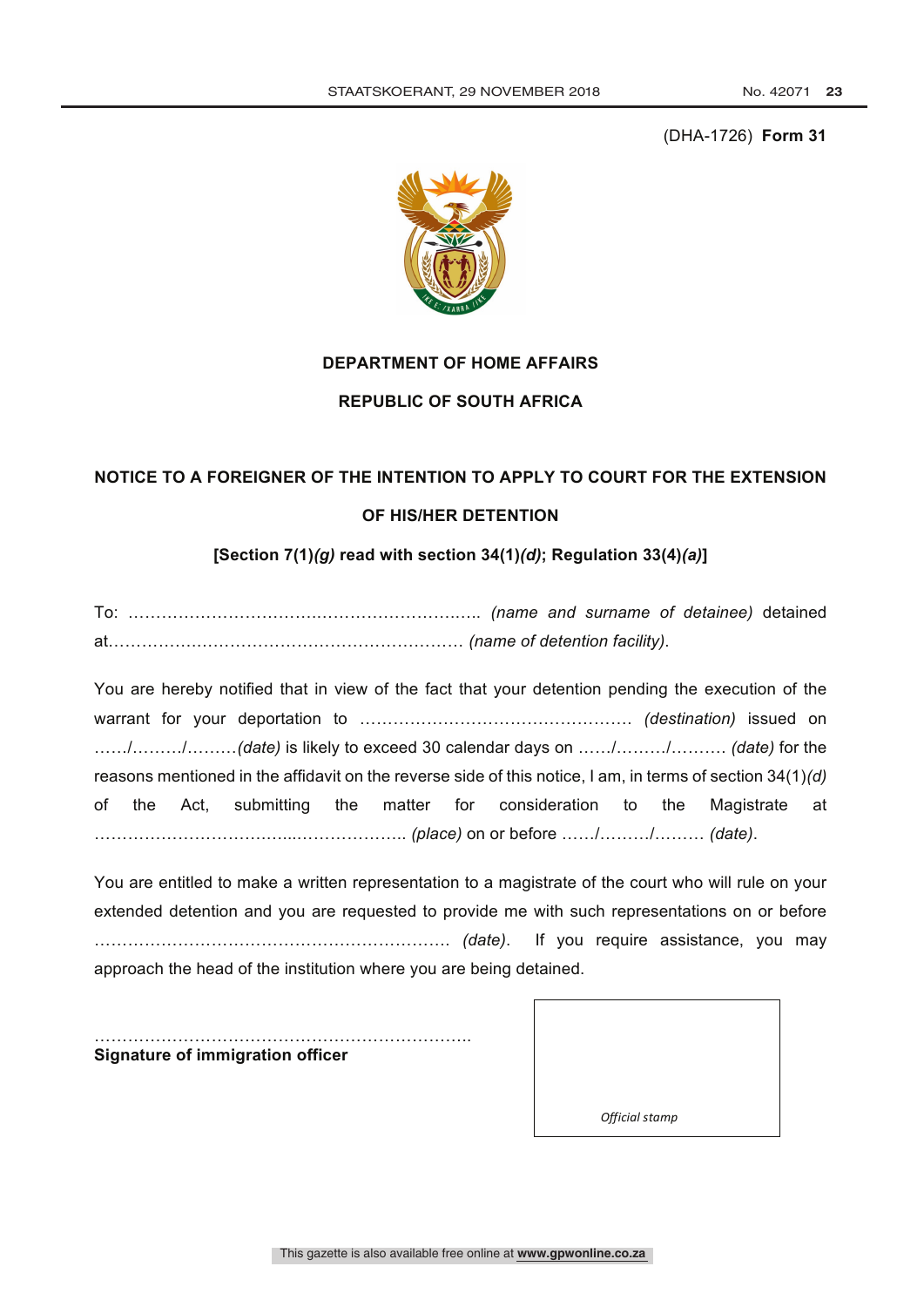(DHA-1726) **Form 31**



#### **DEPARTMENT OF HOME AFFAIRS**

#### **REPUBLIC OF SOUTH AFRICA**

# **NOTICE TO A FOREIGNER OF THE INTENTION TO APPLY TO COURT FOR THE EXTENSION OF HIS/HER DETENTION**

#### **[Section 7(1)***(g)* **read with section 34(1)***(d)***; Regulation 33(4)***(a)***]**

To: …………………………….…………………….….. *(name and surname of detainee)* detained at…………….………………………………………… *(name of detention facility)*.

You are hereby notified that in view of the fact that your detention pending the execution of the warrant for your deportation to …………………………………………. *(destination)* issued on ……/………/………*(date)* is likely to exceed 30 calendar days on ……/………/………. *(date)* for the reasons mentioned in the affidavit on the reverse side of this notice, I am, in terms of section 34(1)*(d)* of the Act, submitting the matter for consideration to the Magistrate at ………………………….…...……………….. *(place)* on or before ……/………/……… *(date)*.

You are entitled to make a written representation to a magistrate of the court who will rule on your extended detention and you are requested to provide me with such representations on or before ………………………………………………………. *(date)*. If you require assistance, you may approach the head of the institution where you are being detained.

…………………………………………………………..

**Signature of immigration officer**

| Official stamp |  |
|----------------|--|
|                |  |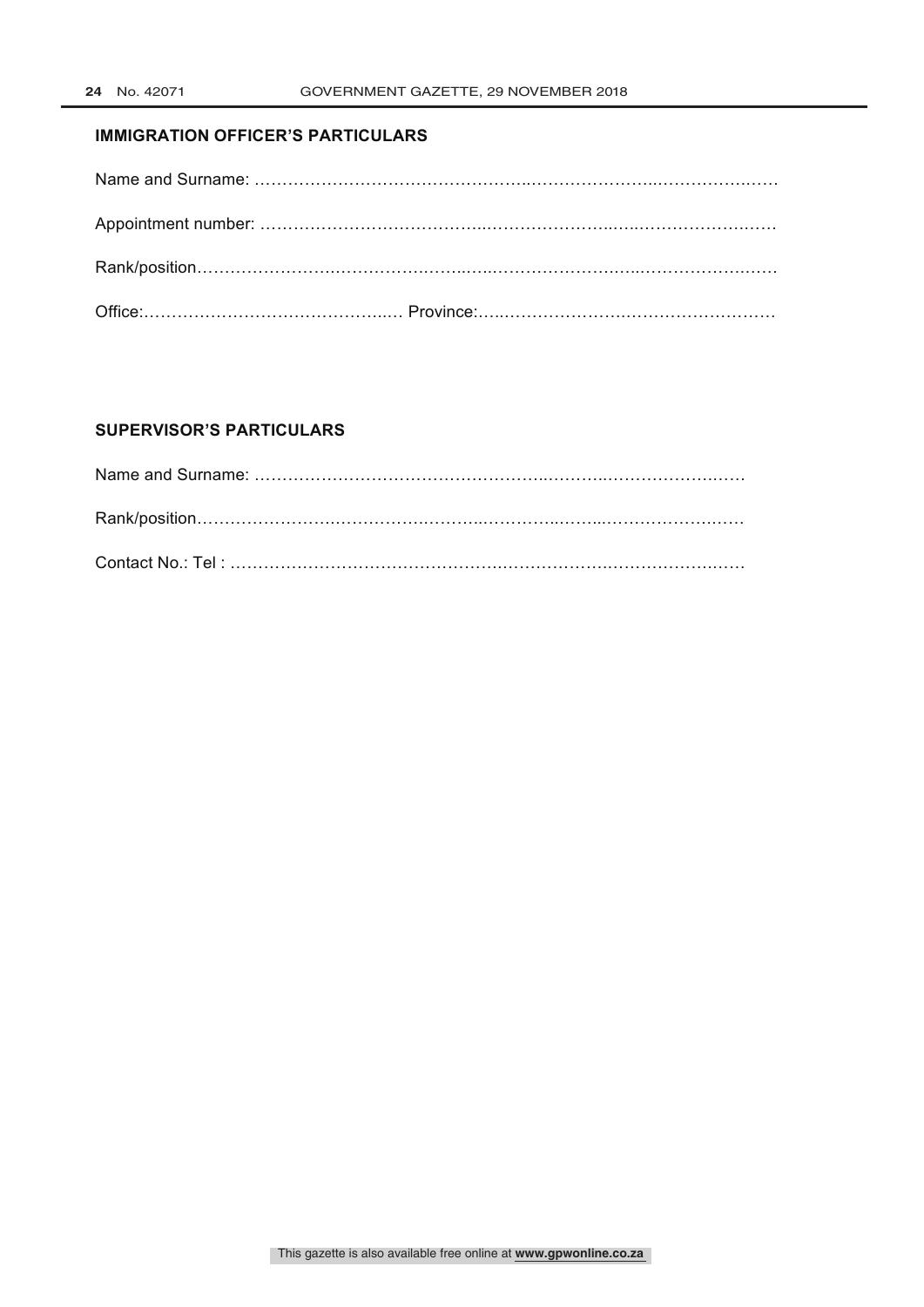#### **IMMIGRATION OFFICER'S PARTICULARS**

#### **SUPERVISOR'S PARTICULARS**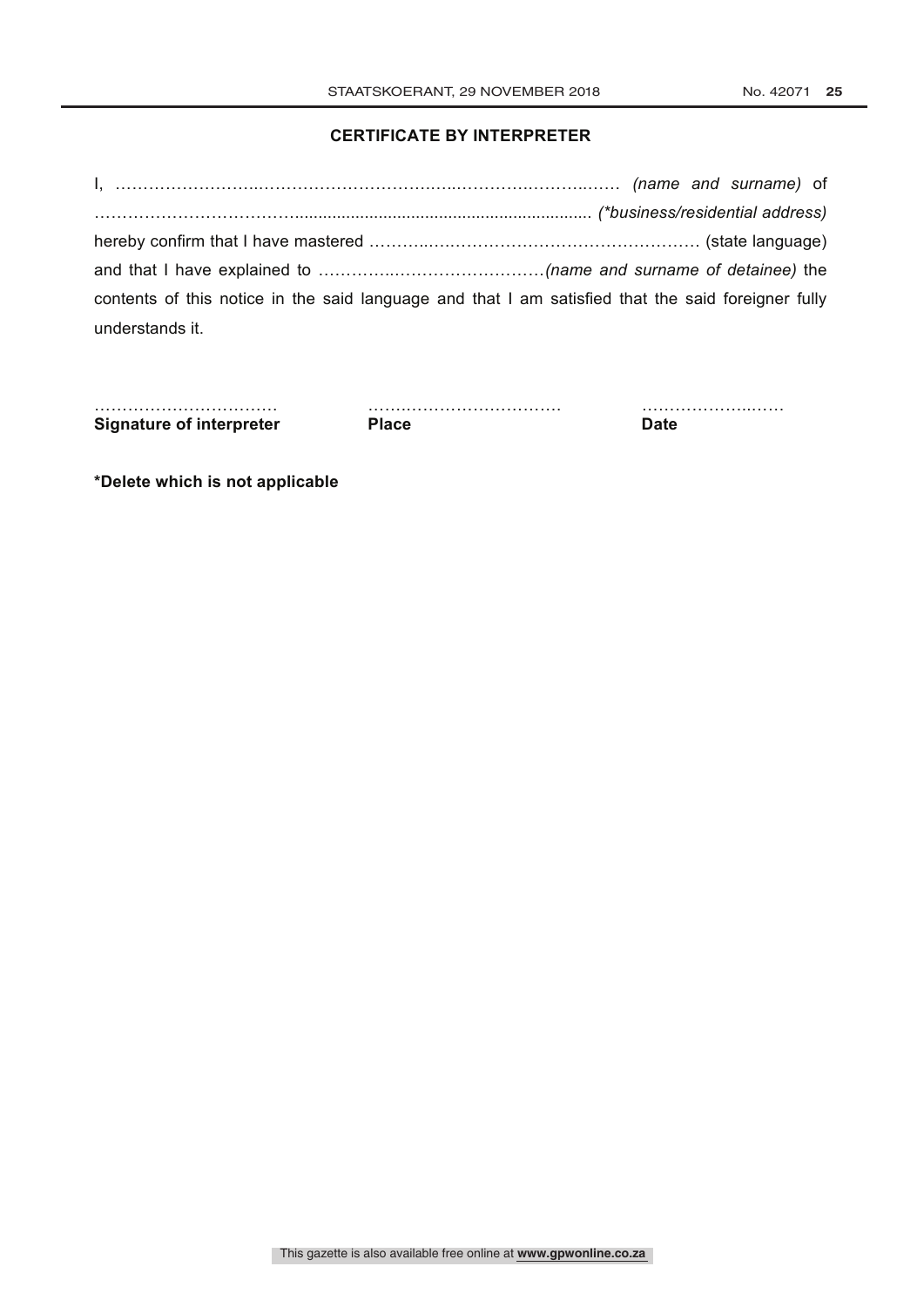#### **CERTIFICATE BY INTERPRETER**

I, ……………………..………………………….…..………….………..…… *(name and surname)* of ………………………………................................................................ *(\*business/residential address)*  hereby confirm that I have mastered ………..….……………………………………… (state language) and that I have explained to …………..………………………*(name and surname of detainee)* the contents of this notice in the said language and that I am satisfied that the said foreigner fully understands it.

**Signature of interpreter Place Date**

…………………………… …….………………………. ………………..……

**\*Delete which is not applicable**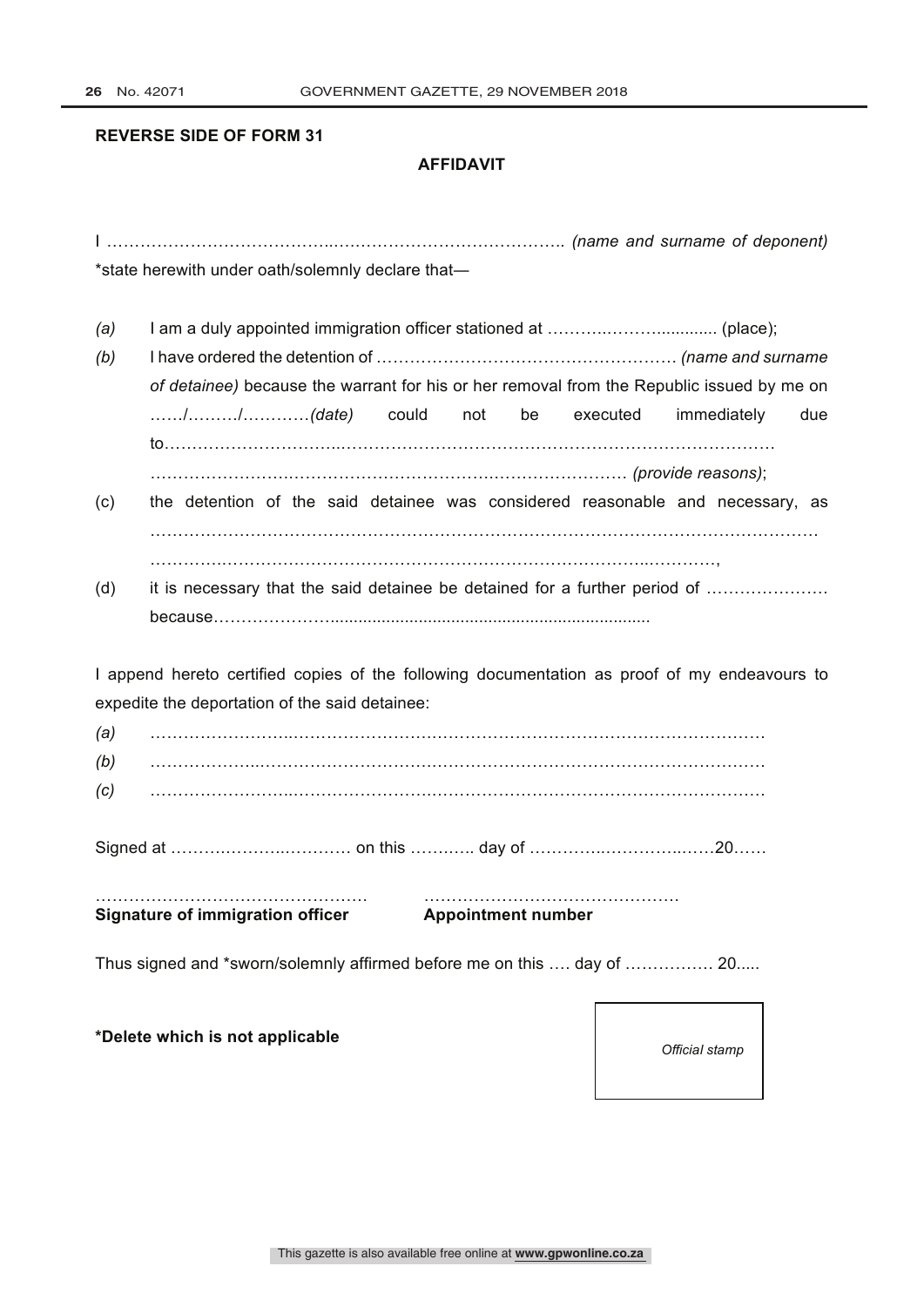#### **REVERSE SIDE OF FORM 31**

#### **AFFIDAVIT**

|                                                                      | *state herewith under oath/solemnly declare that-                                                                         |  |
|----------------------------------------------------------------------|---------------------------------------------------------------------------------------------------------------------------|--|
|                                                                      |                                                                                                                           |  |
| (a)                                                                  |                                                                                                                           |  |
| (b)                                                                  |                                                                                                                           |  |
|                                                                      | of detainee) because the warrant for his or her removal from the Republic issued by me on                                 |  |
|                                                                      | $\ldots \ldots \ldots \ldots \ldots \ldots \ldots \ldots \ldots (date)$<br>could not<br>be executed<br>immediately<br>due |  |
|                                                                      |                                                                                                                           |  |
|                                                                      |                                                                                                                           |  |
| (c)                                                                  | the detention of the said detainee was considered reasonable and necessary, as                                            |  |
|                                                                      |                                                                                                                           |  |
|                                                                      |                                                                                                                           |  |
|                                                                      |                                                                                                                           |  |
| (d)                                                                  | it is necessary that the said detainee be detained for a further period of                                                |  |
|                                                                      |                                                                                                                           |  |
|                                                                      |                                                                                                                           |  |
|                                                                      | I append hereto certified copies of the following documentation as proof of my endeavours to                              |  |
|                                                                      | expedite the deportation of the said detainee:                                                                            |  |
| (a)                                                                  |                                                                                                                           |  |
| (b)                                                                  |                                                                                                                           |  |
| (c)                                                                  |                                                                                                                           |  |
|                                                                      |                                                                                                                           |  |
|                                                                      |                                                                                                                           |  |
| <b>Signature of immigration officer</b><br><b>Appointment number</b> |                                                                                                                           |  |

Thus signed and \*sworn/solemnly affirmed before me on this …. day of ……………. 20.....

**\*Delete which is not applicable** *Official stamp*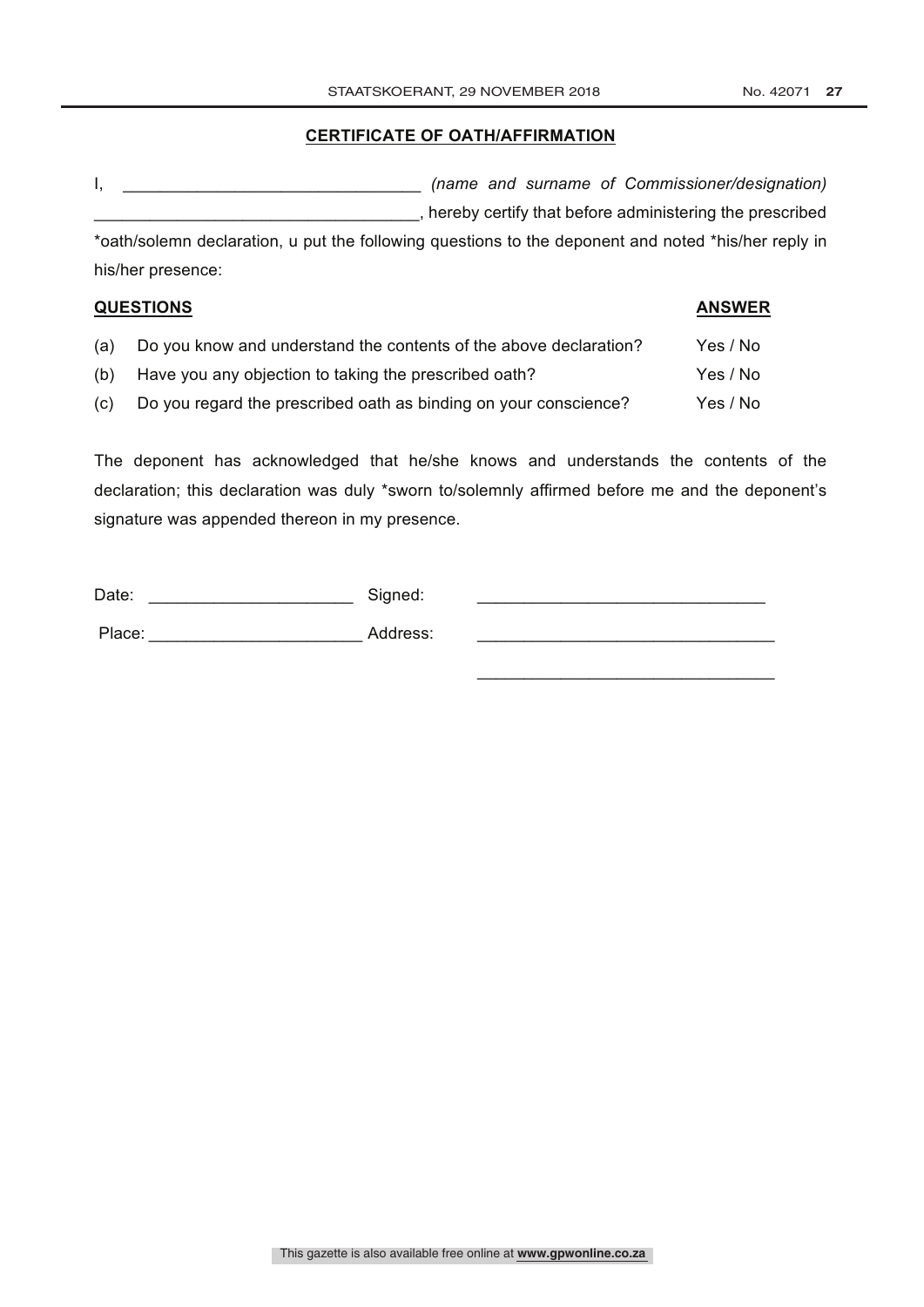#### **CERTIFICATE OF OATH/AFFIRMATION**

I, \_\_\_\_\_\_\_\_\_\_\_\_\_\_\_\_\_\_\_\_\_\_\_\_\_\_\_\_\_\_\_\_ *(name and surname of Commissioner/designation)* \_\_\_\_\_\_\_\_\_\_\_\_\_\_\_\_\_\_\_\_\_\_\_\_\_\_\_\_\_\_\_\_\_\_\_, hereby certify that before administering the prescribed

\*oath/solemn declaration, u put the following questions to the deponent and noted \*his/her reply in his/her presence:

| <b>QUESTIONS</b> |                                                                   | <b>ANSWER</b> |
|------------------|-------------------------------------------------------------------|---------------|
| (a)              | Do you know and understand the contents of the above declaration? | Yes / No      |
| (b)              | Have you any objection to taking the prescribed oath?             | Yes / No      |
| (c)              | Do you regard the prescribed oath as binding on your conscience?  | Yes / No      |

The deponent has acknowledged that he/she knows and understands the contents of the declaration; this declaration was duly \*sworn to/solemnly affirmed before me and the deponent's signature was appended thereon in my presence.

\_\_\_\_\_\_\_\_\_\_\_\_\_\_\_\_\_\_\_\_\_\_\_\_\_\_\_\_\_\_\_\_

Date: \_\_\_\_\_\_\_\_\_\_\_\_\_\_\_\_\_\_\_\_\_\_ Signed: \_\_\_\_\_\_\_\_\_\_\_\_\_\_\_\_\_\_\_\_\_\_\_\_\_\_\_\_\_\_\_

Place: \_\_\_\_\_\_\_\_\_\_\_\_\_\_\_\_\_\_\_\_\_\_\_ Address: \_\_\_\_\_\_\_\_\_\_\_\_\_\_\_\_\_\_\_\_\_\_\_\_\_\_\_\_\_\_\_\_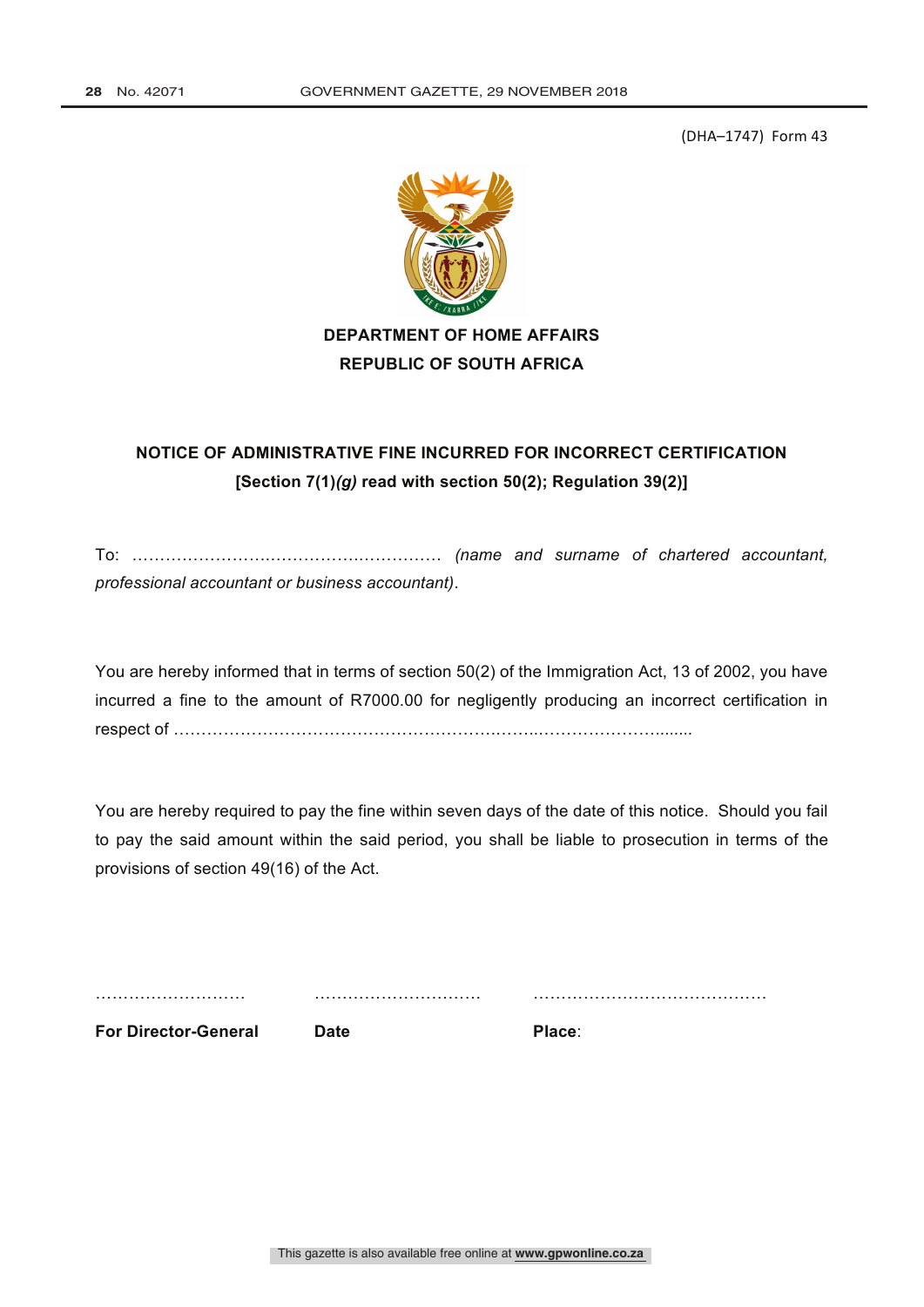(DHA-1747) Form 43



# **DEPARTMENT OF HOME AFFAIRS REPUBLIC OF SOUTH AFRICA**

# **NOTICE OF ADMINISTRATIVE FINE INCURRED FOR INCORRECT CERTIFICATION [Section 7(1)***(g)* **read with section 50(2); Regulation 39(2)]**

To: …………………….…………….…………… *(name and surname of chartered accountant, professional accountant or business accountant)*.

You are hereby informed that in terms of section 50(2) of the Immigration Act, 13 of 2002, you have incurred a fine to the amount of R7000.00 for negligently producing an incorrect certification in respect of ………………………………………………….……..…………………........

You are hereby required to pay the fine within seven days of the date of this notice. Should you fail to pay the said amount within the said period, you shall be liable to prosecution in terms of the provisions of section 49(16) of the Act.

……………………… ………………………… ……………………………………

**For Director-General Date Place**: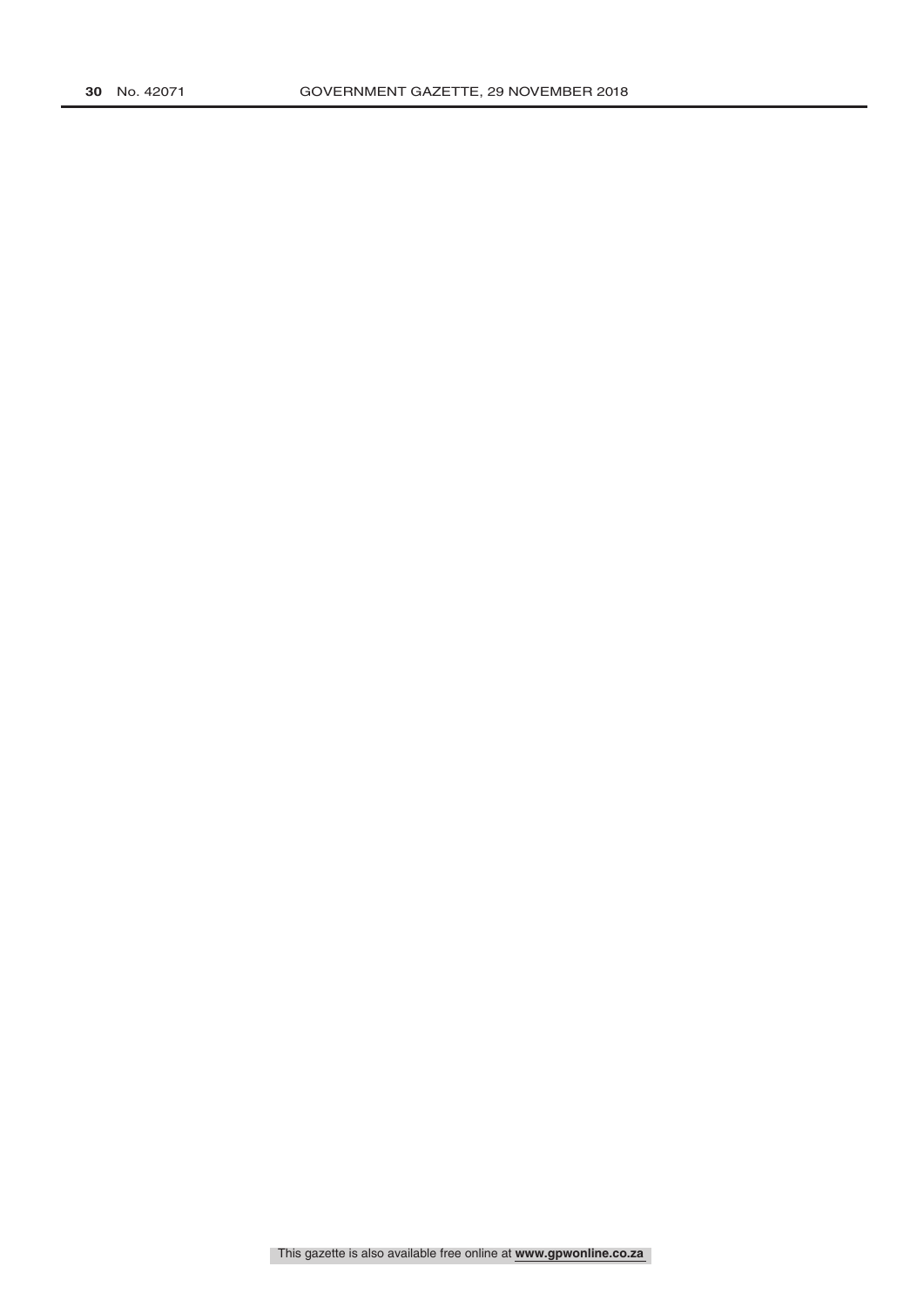This gazette is also available free online at **www.gpwonline.co.za**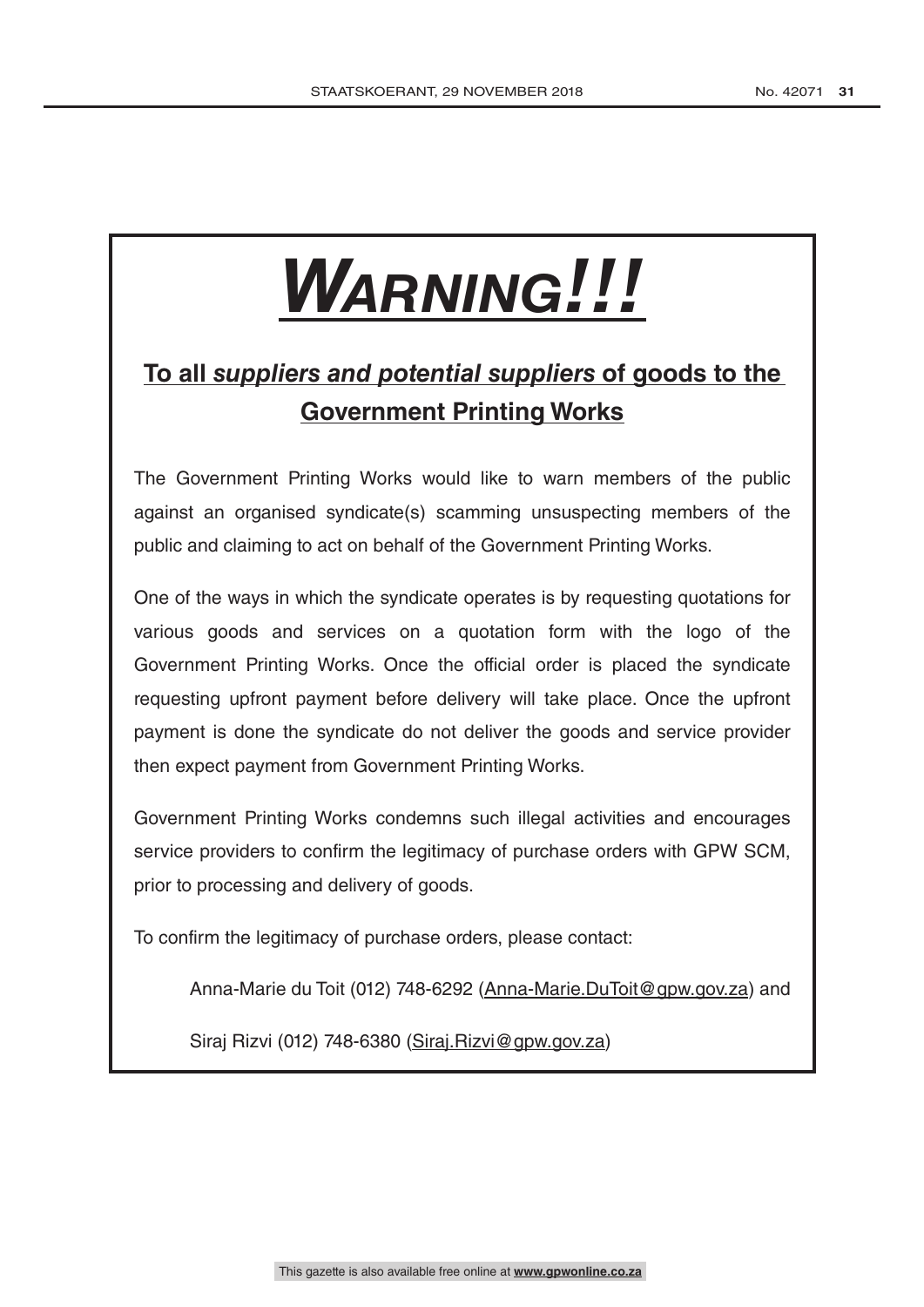# *Warning!!!*

# **To all** *suppliers and potential suppliers* **of goods to the Government Printing Works**

The Government Printing Works would like to warn members of the public against an organised syndicate(s) scamming unsuspecting members of the public and claiming to act on behalf of the Government Printing Works.

One of the ways in which the syndicate operates is by requesting quotations for various goods and services on a quotation form with the logo of the Government Printing Works. Once the official order is placed the syndicate requesting upfront payment before delivery will take place. Once the upfront payment is done the syndicate do not deliver the goods and service provider then expect payment from Government Printing Works.

Government Printing Works condemns such illegal activities and encourages service providers to confirm the legitimacy of purchase orders with GPW SCM, prior to processing and delivery of goods.

To confirm the legitimacy of purchase orders, please contact:

Anna-Marie du Toit (012) 748-6292 (Anna-Marie.DuToit@gpw.gov.za) and

Siraj Rizvi (012) 748-6380 (Siraj. Rizvi@gpw.gov.za)